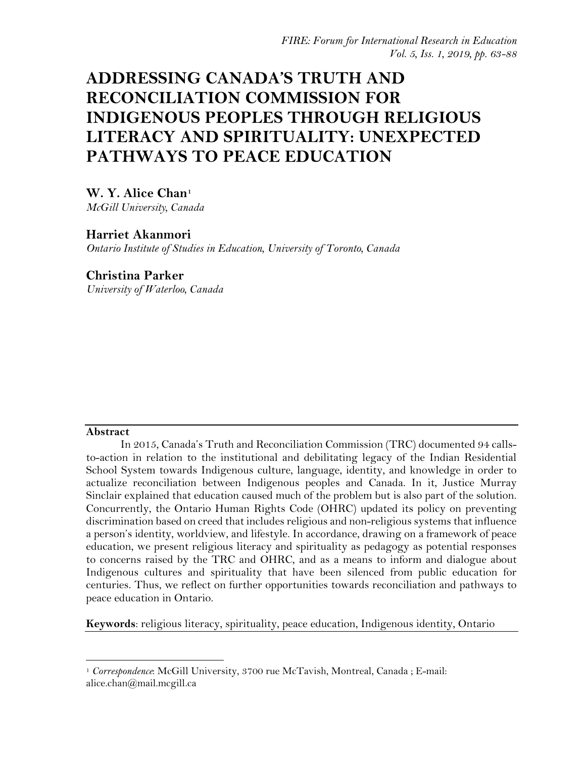# **ADDRESSING CANADA'S TRUTH AND RECONCILIATION COMMISSION FOR INDIGENOUS PEOPLES THROUGH RELIGIOUS LITERACY AND SPIRITUALITY: UNEXPECTED PATHWAYS TO PEACE EDUCATION**

# **W. Y. Alice Chan[1](#page-0-0)**

*McGill University, Canada*

# **Harriet Akanmori**

*Ontario Institute of Studies in Education, University of Toronto, Canada* 

# **Christina Parker**

*University of Waterloo, Canada*

# **Abstract**

l

In 2015, Canada's Truth and Reconciliation Commission (TRC) documented 94 callsto-action in relation to the institutional and debilitating legacy of the Indian Residential School System towards Indigenous culture, language, identity, and knowledge in order to actualize reconciliation between Indigenous peoples and Canada. In it, Justice Murray Sinclair explained that education caused much of the problem but is also part of the solution. Concurrently, the Ontario Human Rights Code (OHRC) updated its policy on preventing discrimination based on creed that includes religious and non-religious systems that influence a person's identity, worldview, and lifestyle. In accordance, drawing on a framework of peace education, we present religious literacy and spirituality as pedagogy as potential responses to concerns raised by the TRC and OHRC, and as a means to inform and dialogue about Indigenous cultures and spirituality that have been silenced from public education for centuries. Thus, we reflect on further opportunities towards reconciliation and pathways to peace education in Ontario.

**Keywords**: religious literacy, spirituality, peace education, Indigenous identity, Ontario

<span id="page-0-0"></span><sup>&</sup>lt;sup>1</sup> *Correspondence*: McGill University, 3700 rue McTavish, Montreal, Canada; E-mail: alice.chan@mail.mcgill.ca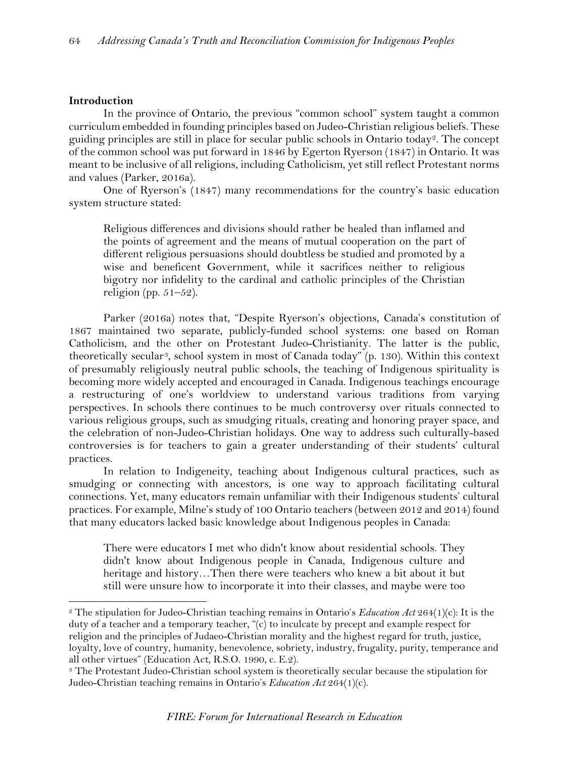## **Introduction**

 $\overline{\phantom{a}}$ 

In the province of Ontario, the previous "common school" system taught a common curriculum embedded in founding principles based on Judeo-Christian religious beliefs. These guiding principles are still in place for secular public schools in Ontario today<sup>2</sup>. The concept of the common school was put forward in 1846 by Egerton Ryerson (1847) in Ontario. It was meant to be inclusive of all religions, including Catholicism, yet still reflect Protestant norms and values (Parker, 2016a).

One of Ryerson's (1847) many recommendations for the country's basic education system structure stated:

Religious differences and divisions should rather be healed than inflamed and the points of agreement and the means of mutual cooperation on the part of different religious persuasions should doubtless be studied and promoted by a wise and beneficent Government, while it sacrifices neither to religious bigotry nor infidelity to the cardinal and catholic principles of the Christian religion (pp.  $51-52$ ).

Parker (2016a) notes that, "Despite Ryerson's objections, Canada's constitution of 1867 maintained two separate, publicly-funded school systems: one based on Roman Catholicism, and the other on Protestant Judeo-Christianity. The latter is the public, theoretically secular[3,](#page-1-1) school system in most of Canada today" (p. 130). Within this context of presumably religiously neutral public schools, the teaching of Indigenous spirituality is becoming more widely accepted and encouraged in Canada. Indigenous teachings encourage a restructuring of one's worldview to understand various traditions from varying perspectives. In schools there continues to be much controversy over rituals connected to various religious groups, such as smudging rituals, creating and honoring prayer space, and the celebration of non-Judeo-Christian holidays. One way to address such culturally-based controversies is for teachers to gain a greater understanding of their students' cultural practices.

In relation to Indigeneity, teaching about Indigenous cultural practices, such as smudging or connecting with ancestors, is one way to approach facilitating cultural connections. Yet, many educators remain unfamiliar with their Indigenous students' cultural practices. For example, Milne's study of 100 Ontario teachers (between 2012 and 2014) found that many educators lacked basic knowledge about Indigenous peoples in Canada:

There were educators I met who didn't know about residential schools. They didn't know about Indigenous people in Canada, Indigenous culture and heritage and history…Then there were teachers who knew a bit about it but still were unsure how to incorporate it into their classes, and maybe were too

<span id="page-1-0"></span><sup>2</sup> The stipulation for Judeo-Christian teaching remains in Ontario's *Education Act* 264(1)(c): It is the duty of a teacher and a temporary teacher, "(c) to inculcate by precept and example respect for religion and the principles of Judaeo-Christian morality and the highest regard for truth, justice, loyalty, love of country, humanity, benevolence, sobriety, industry, frugality, purity, temperance and all other virtues" (Education Act, R.S.O. 1990, c. E.2).

<span id="page-1-1"></span><sup>&</sup>lt;sup>3</sup> The Protestant Judeo-Christian school system is theoretically secular because the stipulation for Judeo-Christian teaching remains in Ontario's *Education Act* 264(1)(c).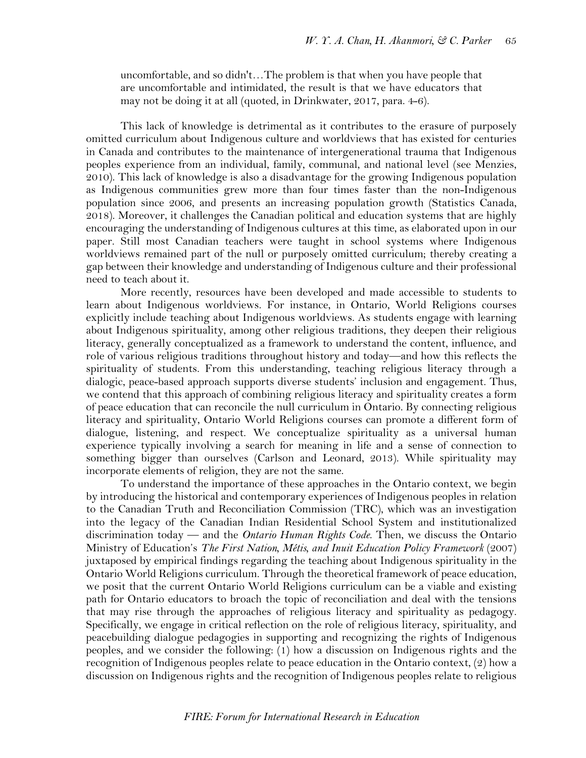uncomfortable, and so didn't…The problem is that when you have people that are uncomfortable and intimidated, the result is that we have educators that may not be doing it at all (quoted, in Drinkwater, 2017, para. 4-6).

This lack of knowledge is detrimental as it contributes to the erasure of purposely omitted curriculum about Indigenous culture and worldviews that has existed for centuries in Canada and contributes to the maintenance of intergenerational trauma that Indigenous peoples experience from an individual, family, communal, and national level (see Menzies, 2010). This lack of knowledge is also a disadvantage for the growing Indigenous population as Indigenous communities grew more than four times faster than the non-Indigenous population since 2006, and presents an increasing population growth (Statistics Canada, 2018). Moreover, it challenges the Canadian political and education systems that are highly encouraging the understanding of Indigenous cultures at this time, as elaborated upon in our paper. Still most Canadian teachers were taught in school systems where Indigenous worldviews remained part of the null or purposely omitted curriculum; thereby creating a gap between their knowledge and understanding of Indigenous culture and their professional need to teach about it.

More recently, resources have been developed and made accessible to students to learn about Indigenous worldviews. For instance, in Ontario, World Religions courses explicitly include teaching about Indigenous worldviews. As students engage with learning about Indigenous spirituality, among other religious traditions, they deepen their religious literacy, generally conceptualized as a framework to understand the content, influence, and role of various religious traditions throughout history and today—and how this reflects the spirituality of students. From this understanding, teaching religious literacy through a dialogic, peace-based approach supports diverse students' inclusion and engagement. Thus, we contend that this approach of combining religious literacy and spirituality creates a form of peace education that can reconcile the null curriculum in Ontario. By connecting religious literacy and spirituality, Ontario World Religions courses can promote a different form of dialogue, listening, and respect. We conceptualize spirituality as a universal human experience typically involving a search for meaning in life and a sense of connection to something bigger than ourselves (Carlson and Leonard, 2013). While spirituality may incorporate elements of religion, they are not the same.

To understand the importance of these approaches in the Ontario context, we begin by introducing the historical and contemporary experiences of Indigenous peoples in relation to the Canadian Truth and Reconciliation Commission (TRC), which was an investigation into the legacy of the Canadian Indian Residential School System and institutionalized discrimination today — and the *Ontario Human Rights Code*. Then, we discuss the Ontario Ministry of Education's *The First Nation, Métis, and Inuit Education Policy Framework* (2007) juxtaposed by empirical findings regarding the teaching about Indigenous spirituality in the Ontario World Religions curriculum. Through the theoretical framework of peace education, we posit that the current Ontario World Religions curriculum can be a viable and existing path for Ontario educators to broach the topic of reconciliation and deal with the tensions that may rise through the approaches of religious literacy and spirituality as pedagogy. Specifically, we engage in critical reflection on the role of religious literacy, spirituality, and peacebuilding dialogue pedagogies in supporting and recognizing the rights of Indigenous peoples, and we consider the following: (1) how a discussion on Indigenous rights and the recognition of Indigenous peoples relate to peace education in the Ontario context, (2) how a discussion on Indigenous rights and the recognition of Indigenous peoples relate to religious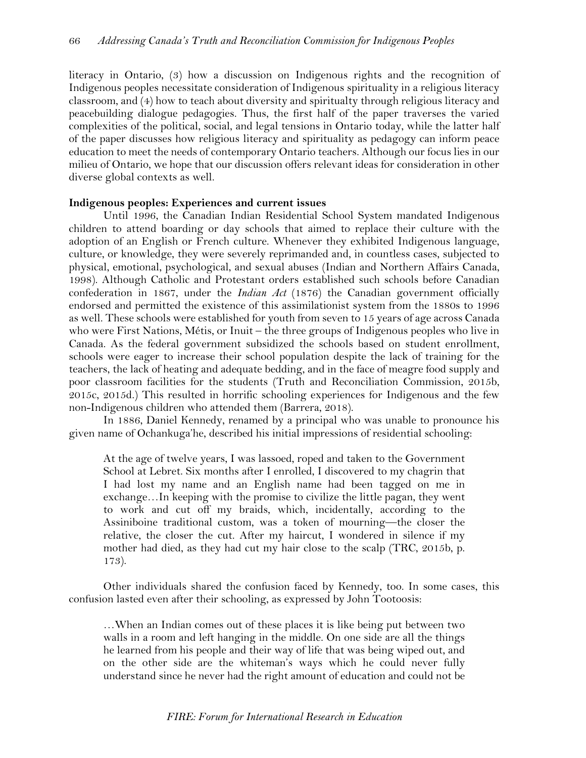literacy in Ontario, (3) how a discussion on Indigenous rights and the recognition of Indigenous peoples necessitate consideration of Indigenous spirituality in a religious literacy classroom, and (4) how to teach about diversity and spiritualty through religious literacy and peacebuilding dialogue pedagogies. Thus, the first half of the paper traverses the varied complexities of the political, social, and legal tensions in Ontario today, while the latter half of the paper discusses how religious literacy and spirituality as pedagogy can inform peace education to meet the needs of contemporary Ontario teachers. Although our focus lies in our milieu of Ontario, we hope that our discussion offers relevant ideas for consideration in other diverse global contexts as well.

## **Indigenous peoples: Experiences and current issues**

Until 1996, the Canadian Indian Residential School System mandated Indigenous children to attend boarding or day schools that aimed to replace their culture with the adoption of an English or French culture. Whenever they exhibited Indigenous language, culture, or knowledge, they were severely reprimanded and, in countless cases, subjected to physical, emotional, psychological, and sexual abuses (Indian and Northern Affairs Canada, 1998). Although Catholic and Protestant orders established such schools before Canadian confederation in 1867, under the *Indian Act* (1876) the Canadian government officially endorsed and permitted the existence of this assimilationist system from the 1880s to 1996 as well. These schools were established for youth from seven to 15 years of age across Canada who were First Nations, Métis, or Inuit – the three groups of Indigenous peoples who live in Canada. As the federal government subsidized the schools based on student enrollment, schools were eager to increase their school population despite the lack of training for the teachers, the lack of heating and adequate bedding, and in the face of meagre food supply and poor classroom facilities for the students (Truth and Reconciliation Commission, 2015b, 2015c, 2015d.) This resulted in horrific schooling experiences for Indigenous and the few non-Indigenous children who attended them (Barrera, 2018).

In 1886, Daniel Kennedy, renamed by a principal who was unable to pronounce his given name of Ochankuga'he, described his initial impressions of residential schooling:

At the age of twelve years, I was lassoed, roped and taken to the Government School at Lebret. Six months after I enrolled, I discovered to my chagrin that I had lost my name and an English name had been tagged on me in exchange…In keeping with the promise to civilize the little pagan, they went to work and cut off my braids, which, incidentally, according to the Assiniboine traditional custom, was a token of mourning—the closer the relative, the closer the cut. After my haircut, I wondered in silence if my mother had died, as they had cut my hair close to the scalp (TRC, 2015b, p. 173).

Other individuals shared the confusion faced by Kennedy, too. In some cases, this confusion lasted even after their schooling, as expressed by John Tootoosis:

…When an Indian comes out of these places it is like being put between two walls in a room and left hanging in the middle. On one side are all the things he learned from his people and their way of life that was being wiped out, and on the other side are the whiteman's ways which he could never fully understand since he never had the right amount of education and could not be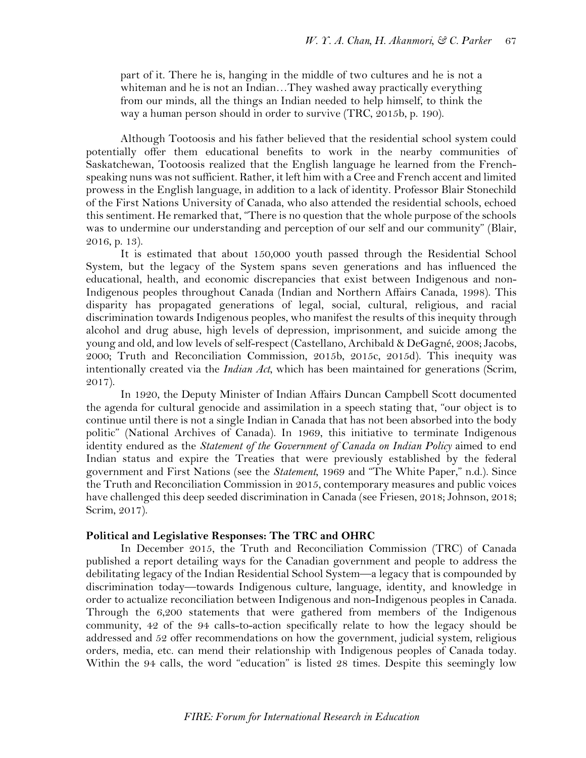part of it. There he is, hanging in the middle of two cultures and he is not a whiteman and he is not an Indian…They washed away practically everything from our minds, all the things an Indian needed to help himself, to think the way a human person should in order to survive (TRC, 2015b, p. 190).

Although Tootoosis and his father believed that the residential school system could potentially offer them educational benefits to work in the nearby communities of Saskatchewan, Tootoosis realized that the English language he learned from the Frenchspeaking nuns was not sufficient. Rather, it left him with a Cree and French accent and limited prowess in the English language, in addition to a lack of identity. Professor Blair Stonechild of the First Nations University of Canada, who also attended the residential schools, echoed this sentiment. He remarked that, "There is no question that the whole purpose of the schools was to undermine our understanding and perception of our self and our community" (Blair, 2016, p. 13).

It is estimated that about 150,000 youth passed through the Residential School System, but the legacy of the System spans seven generations and has influenced the educational, health, and economic discrepancies that exist between Indigenous and non-Indigenous peoples throughout Canada (Indian and Northern Affairs Canada, 1998). This disparity has propagated generations of legal, social, cultural, religious, and racial discrimination towards Indigenous peoples, who manifest the results of this inequity through alcohol and drug abuse, high levels of depression, imprisonment, and suicide among the young and old, and low levels of self-respect (Castellano, Archibald & DeGagné, 2008; Jacobs, 2000; Truth and Reconciliation Commission, 2015b, 2015c, 2015d). This inequity was intentionally created via the *Indian Act*, which has been maintained for generations (Scrim, 2017).

In 1920, the Deputy Minister of Indian Affairs Duncan Campbell Scott documented the agenda for cultural genocide and assimilation in a speech stating that, "our object is to continue until there is not a single Indian in Canada that has not been absorbed into the body politic" (National Archives of Canada). In 1969, this initiative to terminate Indigenous identity endured as the *Statement of the Government of Canada on Indian Policy* aimed to end Indian status and expire the Treaties that were previously established by the federal government and First Nations (see the *Statement*, 1969 and "The White Paper," n.d.). Since the Truth and Reconciliation Commission in 2015, contemporary measures and public voices have challenged this deep seeded discrimination in Canada (see Friesen, 2018; Johnson, 2018; Scrim, 2017).

## **Political and Legislative Responses: The TRC and OHRC**

In December 2015, the Truth and Reconciliation Commission (TRC) of Canada published a report detailing ways for the Canadian government and people to address the debilitating legacy of the Indian Residential School System—a legacy that is compounded by discrimination today—towards Indigenous culture, language, identity, and knowledge in order to actualize reconciliation between Indigenous and non-Indigenous peoples in Canada. Through the 6,200 statements that were gathered from members of the Indigenous community, 42 of the 94 calls-to-action specifically relate to how the legacy should be addressed and 52 offer recommendations on how the government, judicial system, religious orders, media, etc. can mend their relationship with Indigenous peoples of Canada today. Within the 94 calls, the word "education" is listed 28 times. Despite this seemingly low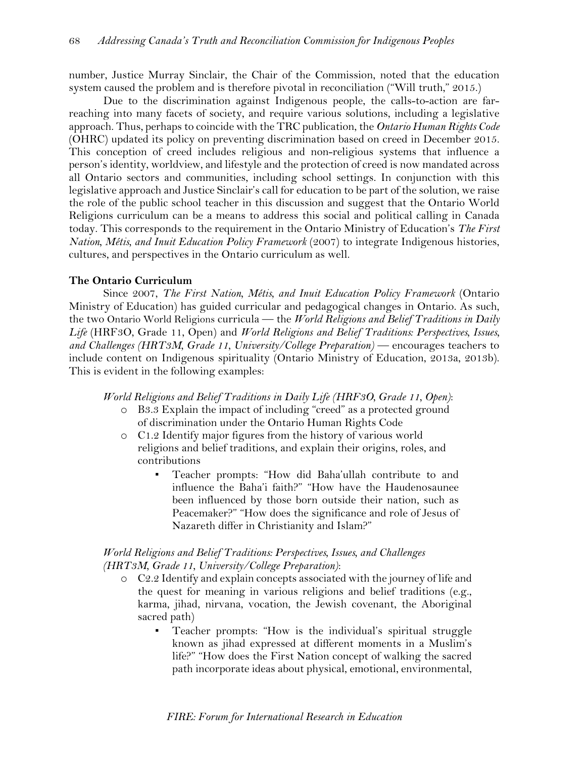number, Justice Murray Sinclair, the Chair of the Commission, noted that the education system caused the problem and is therefore pivotal in reconciliation ("Will truth," 2015.)

Due to the discrimination against Indigenous people, the calls-to-action are farreaching into many facets of society, and require various solutions, including a legislative approach. Thus, perhaps to coincide with the TRC publication, the *Ontario Human Rights Code* (OHRC) updated its policy on preventing discrimination based on creed in December 2015. This conception of creed includes religious and non-religious systems that influence a person's identity, worldview, and lifestyle and the protection of creed is now mandated across all Ontario sectors and communities, including school settings. In conjunction with this legislative approach and Justice Sinclair's call for education to be part of the solution, we raise the role of the public school teacher in this discussion and suggest that the Ontario World Religions curriculum can be a means to address this social and political calling in Canada today. This corresponds to the requirement in the Ontario Ministry of Education's *The First Nation, Métis, and Inuit Education Policy Framework (2007)* to integrate Indigenous histories, cultures, and perspectives in the Ontario curriculum as well.

## **The Ontario Curriculum**

Since 2007, *The First Nation, Métis, and Inuit Education Policy Framework* (Ontario Ministry of Education) has guided curricular and pedagogical changes in Ontario. As such, the two Ontario World Religions curricula — the *World Religions and Belief Traditions in Daily Life* (HRF3O, Grade 11, Open) and *World Religions and Belief Traditions: Perspectives, Issues,*  and Challenges (HRT3M, Grade 11, University/College Preparation) — encourages teachers to include content on Indigenous spirituality (Ontario Ministry of Education, 2013a, 2013b). This is evident in the following examples:

*World Religions and Belief Traditions in Daily Life (HRF3O, Grade 11, Open)*:

- o B3.3 Explain the impact of including "creed" as a protected ground of discrimination under the Ontario Human Rights Code
- o C1.2 Identify major figures from the history of various world religions and belief traditions, and explain their origins, roles, and contributions
	- Teacher prompts: "How did Baha'ullah contribute to and influence the Baha'i faith?" "How have the Haudenosaunee been influenced by those born outside their nation, such as Peacemaker?" "How does the significance and role of Jesus of Nazareth differ in Christianity and Islam?"

# *World Religions and Belief Traditions: Perspectives, Issues, and Challenges (HRT3M, Grade 11, University/College Preparation)*:

- o C2.2 Identify and explain concepts associated with the journey of life and the quest for meaning in various religions and belief traditions (e.g., karma, jihad, nirvana, vocation, the Jewish covenant, the Aboriginal sacred path)
	- Teacher prompts: "How is the individual's spiritual struggle known as jihad expressed at different moments in a Muslim's life?" "How does the First Nation concept of walking the sacred path incorporate ideas about physical, emotional, environmental,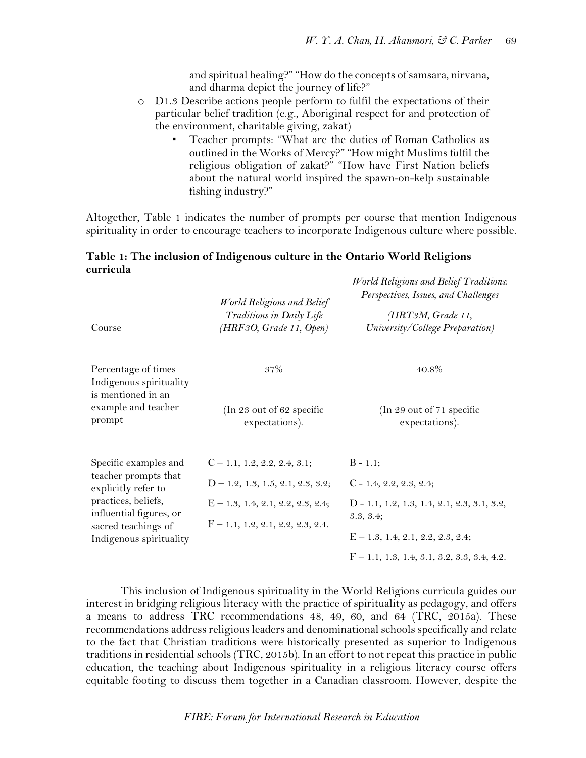and spiritual healing?" "How do the concepts of samsara, nirvana, and dharma depict the journey of life?"

- o D1.3 Describe actions people perform to fulfil the expectations of their particular belief tradition (e.g., Aboriginal respect for and protection of the environment, charitable giving, zakat)
	- Teacher prompts: "What are the duties of Roman Catholics as outlined in the Works of Mercy?" "How might Muslims fulfil the religious obligation of zakat?" "How have First Nation beliefs about the natural world inspired the spawn-on-kelp sustainable fishing industry?"

Altogether, Table 1 indicates the number of prompts per course that mention Indigenous spirituality in order to encourage teachers to incorporate Indigenous culture where possible.

# **Table 1: The inclusion of Indigenous culture in the Ontario World Religions curricula**

| Course                                                                                           | World Religions and Belief<br>Traditions in Daily Life<br>(HRF3O, Grade 11, Open) | <b>World Religions and Belief Traditions:</b><br>Perspectives, Issues, and Challenges<br>(HRT3M, Grade 11,<br>University/College Preparation) |
|--------------------------------------------------------------------------------------------------|-----------------------------------------------------------------------------------|-----------------------------------------------------------------------------------------------------------------------------------------------|
| Percentage of times<br>Indigenous spirituality<br>is mentioned in an                             | 37%                                                                               | $40.8\%$                                                                                                                                      |
| example and teacher<br>prompt                                                                    | (In 23 out of 62 specific<br>expectations).                                       | (In 29 out of 71 specific<br>expectations).                                                                                                   |
| Specific examples and                                                                            | $C-1.1, 1.2, 2.2, 2.4, 3.1;$                                                      | $B - 1.1$ ;                                                                                                                                   |
| teacher prompts that<br>explicitly refer to                                                      | $D-1.2, 1.3, 1.5, 2.1, 2.3, 3.2;$                                                 | $C - 1.4, 2.2, 2.3, 2.4;$                                                                                                                     |
| practices, beliefs,<br>influential figures, or<br>sacred teachings of<br>Indigenous spirituality | $E - 1.3, 1.4, 2.1, 2.2, 2.3, 2.4;$                                               | D - 1.1, 1.2, 1.3, 1.4, 2.1, 2.3, 3.1, 3.2,<br>3.3, 3.4;                                                                                      |
|                                                                                                  | $F-1.1, 1.2, 2.1, 2.2, 2.3, 2.4.$                                                 | $E-1.3, 1.4, 2.1, 2.2, 2.3, 2.4;$                                                                                                             |
|                                                                                                  |                                                                                   | $F-1.1, 1.3, 1.4, 3.1, 3.2, 3.3, 3.4, 4.2.$                                                                                                   |

This inclusion of Indigenous spirituality in the World Religions curricula guides our interest in bridging religious literacy with the practice of spirituality as pedagogy, and offers a means to address TRC recommendations 48, 49, 60, and 64 (TRC, 2015a). These recommendations address religious leaders and denominational schools specifically and relate to the fact that Christian traditions were historically presented as superior to Indigenous traditions in residential schools (TRC, 2015b). In an effort to not repeat this practice in public education, the teaching about Indigenous spirituality in a religious literacy course offers equitable footing to discuss them together in a Canadian classroom. However, despite the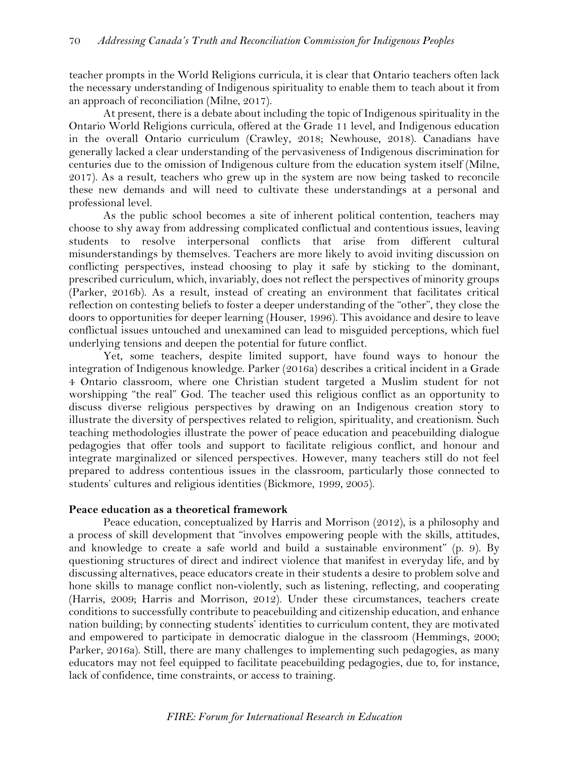teacher prompts in the World Religions curricula, it is clear that Ontario teachers often lack the necessary understanding of Indigenous spirituality to enable them to teach about it from an approach of reconciliation (Milne, 2017).

At present, there is a debate about including the topic of Indigenous spirituality in the Ontario World Religions curricula, offered at the Grade 11 level, and Indigenous education in the overall Ontario curriculum (Crawley, 2018; Newhouse, 2018). Canadians have generally lacked a clear understanding of the pervasiveness of Indigenous discrimination for centuries due to the omission of Indigenous culture from the education system itself (Milne, 2017). As a result, teachers who grew up in the system are now being tasked to reconcile these new demands and will need to cultivate these understandings at a personal and professional level.

As the public school becomes a site of inherent political contention, teachers may choose to shy away from addressing complicated conflictual and contentious issues, leaving students to resolve interpersonal conflicts that arise from different cultural misunderstandings by themselves. Teachers are more likely to avoid inviting discussion on conflicting perspectives, instead choosing to play it safe by sticking to the dominant, prescribed curriculum, which, invariably, does not reflect the perspectives of minority groups (Parker, 2016b). As a result, instead of creating an environment that facilitates critical reflection on contesting beliefs to foster a deeper understanding of the "other", they close the doors to opportunities for deeper learning (Houser, 1996). This avoidance and desire to leave conflictual issues untouched and unexamined can lead to misguided perceptions, which fuel underlying tensions and deepen the potential for future conflict.

Yet, some teachers, despite limited support, have found ways to honour the integration of Indigenous knowledge. Parker (2016a) describes a critical incident in a Grade 4 Ontario classroom, where one Christian student targeted a Muslim student for not worshipping "the real" God. The teacher used this religious conflict as an opportunity to discuss diverse religious perspectives by drawing on an Indigenous creation story to illustrate the diversity of perspectives related to religion, spirituality, and creationism. Such teaching methodologies illustrate the power of peace education and peacebuilding dialogue pedagogies that offer tools and support to facilitate religious conflict, and honour and integrate marginalized or silenced perspectives. However, many teachers still do not feel prepared to address contentious issues in the classroom, particularly those connected to students' cultures and religious identities (Bickmore, 1999, 2005).

## **Peace education as a theoretical framework**

Peace education, conceptualized by Harris and Morrison (2012), is a philosophy and a process of skill development that "involves empowering people with the skills, attitudes, and knowledge to create a safe world and build a sustainable environment" (p. 9). By questioning structures of direct and indirect violence that manifest in everyday life, and by discussing alternatives, peace educators create in their students a desire to problem solve and hone skills to manage conflict non-violently, such as listening, reflecting, and cooperating (Harris, 2009; Harris and Morrison, 2012). Under these circumstances, teachers create conditions to successfully contribute to peacebuilding and citizenship education, and enhance nation building; by connecting students' identities to curriculum content, they are motivated and empowered to participate in democratic dialogue in the classroom (Hemmings, 2000; Parker, 2016a). Still, there are many challenges to implementing such pedagogies, as many educators may not feel equipped to facilitate peacebuilding pedagogies, due to, for instance, lack of confidence, time constraints, or access to training.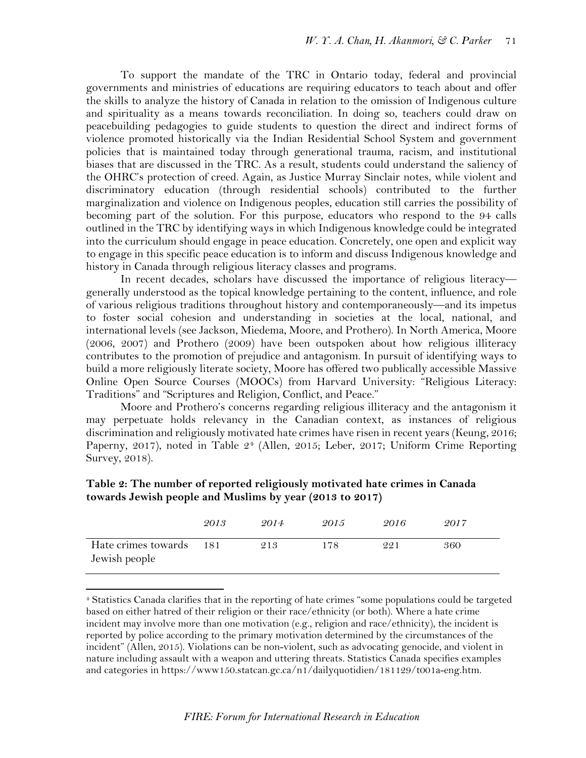To support the mandate of the TRC in Ontario today, federal and provincial governments and ministries of educations are requiring educators to teach about and offer the skills to analyze the history of Canada in relation to the omission of Indigenous culture and spirituality as a means towards reconciliation. In doing so, teachers could draw on peacebuilding pedagogies to guide students to question the direct and indirect forms of violence promoted historically via the Indian Residential School System and government policies that is maintained today through generational trauma, racism, and institutional biases that are discussed in the TRC. As a result, students could understand the saliency of the OHRC's protection of creed. Again, as Justice Murray Sinclair notes, while violent and discriminatory education (through residential schools) contributed to the further marginalization and violence on Indigenous peoples, education still carries the possibility of becoming part of the solution. For this purpose, educators who respond to the 94 calls outlined in the TRC by identifying ways in which Indigenous knowledge could be integrated into the curriculum should engage in peace education. Concretely, one open and explicit way to engage in this specific peace education is to inform and discuss Indigenous knowledge and history in Canada through religious literacy classes and programs.

In recent decades, scholars have discussed the importance of religious literacy generally understood as the topical knowledge pertaining to the content, influence, and role of various religious traditions throughout history and contemporaneously—and its impetus to foster social cohesion and understanding in societies at the local, national, and international levels (see Jackson, Miedema, Moore, and Prothero). In North America, Moore (2006, 2007) and Prothero (2009) have been outspoken about how religious illiteracy contributes to the promotion of prejudice and antagonism. In pursuit of identifying ways to build a more religiously literate society, Moore has offered two publically accessible Massive Online Open Source Courses (MOOCs) from Harvard University: "Religious Literacy: Traditions" and "Scriptures and Religion, Conflict, and Peace."

Moore and Prothero's concerns regarding religious illiteracy and the antagonism it may perpetuate holds relevancy in the Canadian context, as instances of religious discrimination and religiously motivated hate crimes have risen in recent years (Keung, 2016; Paperny, 2017), noted in Table 2<sup>[4](#page-8-0)</sup> (Allen, 2015; Leber, 2017; Uniform Crime Reporting Survey, 2018).

|                                          | 2013 | 2014 | 2015 | 2016 | 2017 |
|------------------------------------------|------|------|------|------|------|
| Hate crimes towards 181<br>Jewish people |      | 213  | 178  | 221  | 360  |

# **Table 2: The number of reported religiously motivated hate crimes in Canada towards Jewish people and Muslims by year (2013 to 2017)**

 $\overline{a}$ 

<span id="page-8-0"></span><sup>4</sup> Statistics Canada clarifies that in the reporting of hate crimes "some populations could be targeted based on either hatred of their religion or their race/ethnicity (or both). Where a hate crime incident may involve more than one motivation (e.g., religion and race/ethnicity), the incident is reported by police according to the primary motivation determined by the circumstances of the incident" (Allen, 2015). Violations can be non-violent, such as advocating genocide, and violent in nature including assault with a weapon and uttering threats. Statistics Canada specifies examples and categories in [https://www150.statcan.gc.ca/n1/dailyq](https://www150.statcan.gc.ca/n1/daily)uotidien/181129/t001a-eng.htm.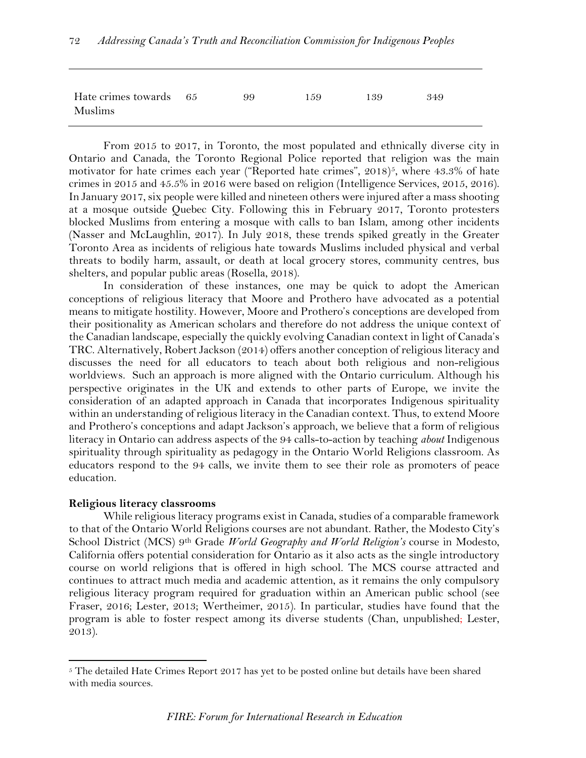| Hate crimes towards 65<br>Muslims | 99 | 159 | 139 | 349 |
|-----------------------------------|----|-----|-----|-----|

From 2015 to 2017, in Toronto, the most populated and ethnically diverse city in Ontario and Canada, the Toronto Regional Police reported that religion was the main motivator for hate crimes each year ("Reported hate crimes",  $2018$ )<sup>[5](#page-9-0)</sup>, where 43.3% of hate crimes in 2015 and 45.5% in 2016 were based on religion (Intelligence Services, 2015, 2016). In January 2017, six people were killed and nineteen others were injured after a mass shooting at a mosque outside Quebec City. Following this in February 2017, Toronto protesters blocked Muslims from entering a mosque with calls to ban Islam, among other incidents (Nasser and McLaughlin, 2017). In July 2018, these trends spiked greatly in the Greater Toronto Area as incidents of religious hate towards Muslims included physical and verbal threats to bodily harm, assault, or death at local grocery stores, community centres, bus shelters, and popular public areas (Rosella, 2018).

In consideration of these instances, one may be quick to adopt the American conceptions of religious literacy that Moore and Prothero have advocated as a potential means to mitigate hostility. However, Moore and Prothero's conceptions are developed from their positionality as American scholars and therefore do not address the unique context of the Canadian landscape, especially the quickly evolving Canadian context in light of Canada's TRC. Alternatively, Robert Jackson (2014) offers another conception of religious literacy and discusses the need for all educators to teach about both religious and non-religious worldviews. Such an approach is more aligned with the Ontario curriculum. Although his perspective originates in the UK and extends to other parts of Europe, we invite the consideration of an adapted approach in Canada that incorporates Indigenous spirituality within an understanding of religious literacy in the Canadian context. Thus, to extend Moore and Prothero's conceptions and adapt Jackson's approach, we believe that a form of religious literacy in Ontario can address aspects of the 94 calls-to-action by teaching *about* Indigenous spirituality through spirituality as pedagogy in the Ontario World Religions classroom. As educators respond to the 94 calls, we invite them to see their role as promoters of peace education.

## **Religious literacy classrooms**

 $\overline{\phantom{a}}$ 

While religious literacy programs exist in Canada, studies of a comparable framework to that of the Ontario World Religions courses are not abundant. Rather, the Modesto City's School District (MCS) 9th Grade *World Geography and World Religion's* course in Modesto, California offers potential consideration for Ontario as it also acts as the single introductory course on world religions that is offered in high school. The MCS course attracted and continues to attract much media and academic attention, as it remains the only compulsory religious literacy program required for graduation within an American public school (see Fraser, 2016; Lester, 2013; Wertheimer, 2015). In particular, studies have found that the program is able to foster respect among its diverse students (Chan, unpublished; Lester, 2013).

<span id="page-9-0"></span> $5$  The detailed Hate Crimes Report 2017 has yet to be posted online but details have been shared with media sources.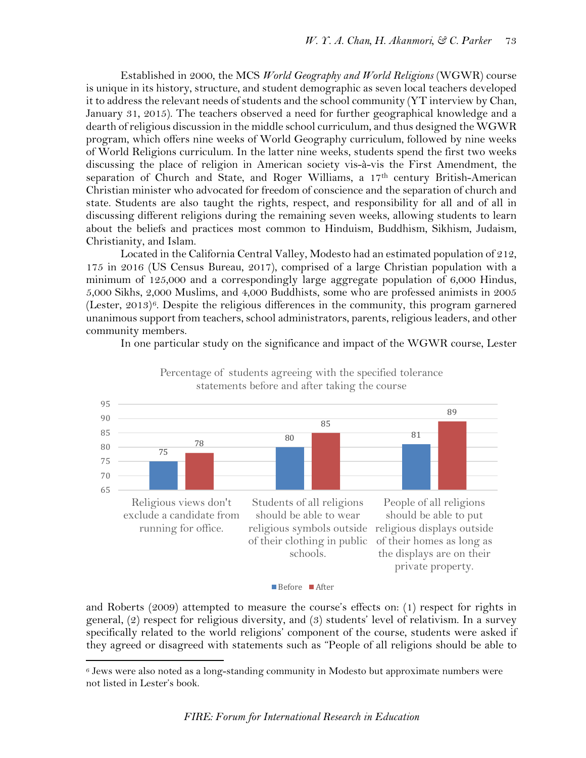Established in 2000, the MCS *World Geography and World Religions* (WGWR) course is unique in its history, structure, and student demographic as seven local teachers developed it to address the relevant needs of students and the school community (YT interview by Chan, January 31, 2015). The teachers observed a need for further geographical knowledge and a dearth of religious discussion in the middle school curriculum, and thus designed the WGWR program, which offers nine weeks of World Geography curriculum, followed by nine weeks of World Religions curriculum. In the latter nine weeks, students spend the first two weeks discussing the place of religion in American society vis-à-vis the First Amendment, the separation of Church and State, and Roger Williams, a 17<sup>th</sup> century British-American Christian minister who advocated for freedom of conscience and the separation of church and state. Students are also taught the rights, respect, and responsibility for all and of all in discussing different religions during the remaining seven weeks, allowing students to learn about the beliefs and practices most common to Hinduism, Buddhism, Sikhism, Judaism, Christianity, and Islam.

Located in the California Central Valley, Modesto had an estimated population of 212, 175 in 2016 (US Census Bureau, 2017), comprised of a large Christian population with a minimum of 125,000 and a correspondingly large aggregate population of 6,000 Hindus, 5,000 Sikhs, 2,000 Muslims, and 4,000 Buddhists, some who are professed animists in 2005 (Lester, 2013)[6](#page-10-0). Despite the religious differences in the community, this program garnered unanimous support from teachers, school administrators, parents, religious leaders, and other community members.

In one particular study on the significance and impact of the WGWR course, Lester



Percentage of students agreeing with the specified tolerance statements before and after taking the course

and Roberts (2009) attempted to measure the course's effects on: (1) respect for rights in general, (2) respect for religious diversity, and (3) students' level of relativism. In a survey specifically related to the world religions' component of the course, students were asked if they agreed or disagreed with statements such as "People of all religions should be able to

Before After

 $\overline{\phantom{a}}$ 

<span id="page-10-0"></span><sup>6</sup> Jews were also noted as a long-standing community in Modesto but approximate numbers were not listed in Lester's book.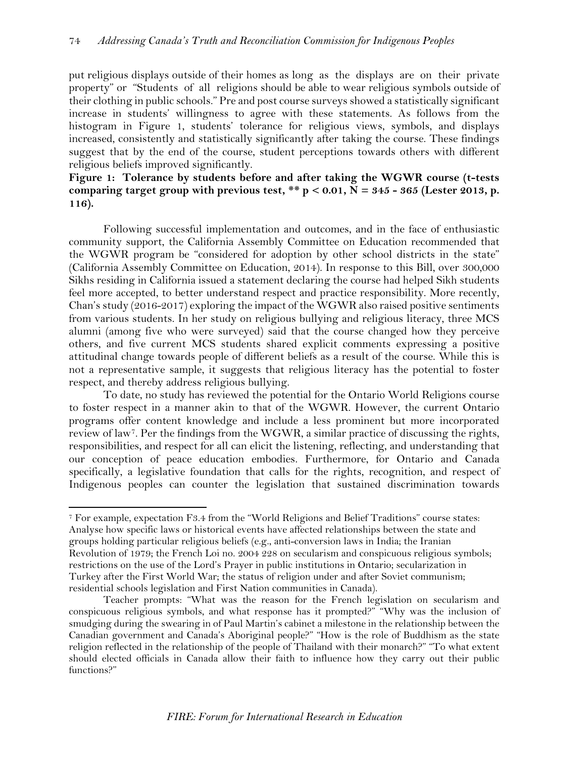put religious displays outside of their homes as long as the displays are on their private property" or "Students of all religions should be able to wear religious symbols outside of their clothing in public schools." Pre and post course surveys showed a statistically significant increase in students' willingness to agree with these statements. As follows from the histogram in Figure 1, students' tolerance for religious views, symbols, and displays increased, consistently and statistically significantly after taking the course. These findings suggest that by the end of the course, student perceptions towards others with different religious beliefs improved significantly.

**Figure 1: Tolerance by students before and after taking the WGWR course (t-tests**  comparing target group with previous test,  $** p < 0.01$ ,  $N = 345 - 365$  (Lester 2013, p. **116).**

Following successful implementation and outcomes, and in the face of enthusiastic community support, the California Assembly Committee on Education recommended that the WGWR program be "considered for adoption by other school districts in the state" (California Assembly Committee on Education, 2014). In response to this Bill, over 300,000 Sikhs residing in California issued a statement declaring the course had helped Sikh students feel more accepted, to better understand respect and practice responsibility. More recently, Chan's study (2016-2017) exploring the impact of the WGWR also raised positive sentiments from various students. In her study on religious bullying and religious literacy, three MCS alumni (among five who were surveyed) said that the course changed how they perceive others, and five current MCS students shared explicit comments expressing a positive attitudinal change towards people of different beliefs as a result of the course. While this is not a representative sample, it suggests that religious literacy has the potential to foster respect, and thereby address religious bullying.

To date, no study has reviewed the potential for the Ontario World Religions course to foster respect in a manner akin to that of the WGWR. However, the current Ontario programs offer content knowledge and include a less prominent but more incorporated review of law[7](#page-11-0). Per the findings from the WGWR, a similar practice of discussing the rights, responsibilities, and respect for all can elicit the listening, reflecting, and understanding that our conception of peace education embodies. Furthermore, for Ontario and Canada specifically, a legislative foundation that calls for the rights, recognition, and respect of Indigenous peoples can counter the legislation that sustained discrimination towards

 $\overline{\phantom{a}}$ 

<span id="page-11-0"></span><sup>7</sup> For example, expectation F3.4 from the "World Religions and Belief Traditions" course states: Analyse how specific laws or historical events have affected relationships between the state and groups holding particular religious beliefs (e.g., anti-conversion laws in India; the Iranian Revolution of 1979; the French Loi no. 2004 228 on secularism and conspicuous religious symbols; restrictions on the use of the Lord's Prayer in public institutions in Ontario; secularization in Turkey after the First World War; the status of religion under and after Soviet communism; residential schools legislation and First Nation communities in Canada).

Teacher prompts: "What was the reason for the French legislation on secularism and conspicuous religious symbols, and what response has it prompted?" "Why was the inclusion of smudging during the swearing in of Paul Martin's cabinet a milestone in the relationship between the Canadian government and Canada's Aboriginal people?" "How is the role of Buddhism as the state religion reflected in the relationship of the people of Thailand with their monarch?" "To what extent should elected officials in Canada allow their faith to influence how they carry out their public functions?"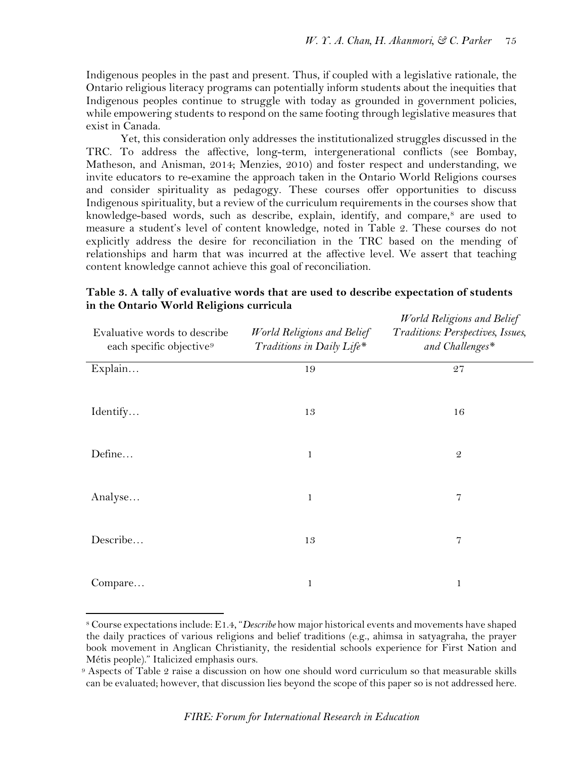Indigenous peoples in the past and present. Thus, if coupled with a legislative rationale, the Ontario religious literacy programs can potentially inform students about the inequities that Indigenous peoples continue to struggle with today as grounded in government policies, while empowering students to respond on the same footing through legislative measures that exist in Canada.

Yet, this consideration only addresses the institutionalized struggles discussed in the TRC. To address the affective, long-term, intergenerational conflicts (see Bombay, Matheson, and Anisman, 2014; Menzies, 2010) and foster respect and understanding, we invite educators to re-examine the approach taken in the Ontario World Religions courses and consider spirituality as pedagogy. These courses offer opportunities to discuss Indigenous spirituality, but a review of the curriculum requirements in the courses show that knowledge-based words, such as describe, explain, identify, and compare,<sup>[8](#page-12-0)</sup> are used to measure a student's level of content knowledge, noted in Table 2. These courses do not explicitly address the desire for reconciliation in the TRC based on the mending of relationships and harm that was incurred at the affective level. We assert that teaching content knowledge cannot achieve this goal of reconciliation.

| Evaluative words to describe<br>each specific objective <sup>9</sup> | World Religions and Belief<br>Traditions in Daily Life* | World Religions and Belief<br>Traditions: Perspectives, Issues,<br>and Challenges* |
|----------------------------------------------------------------------|---------------------------------------------------------|------------------------------------------------------------------------------------|
| Explain                                                              | 19                                                      | 27                                                                                 |
| Identify                                                             | 13                                                      | 16                                                                                 |
| Define                                                               | $\mathbf 1$                                             | $\mathfrak{D}$                                                                     |
| Analyse                                                              | 1                                                       | 7                                                                                  |
| Describe                                                             | 13                                                      | $\overline{7}$                                                                     |
| Compare                                                              | 1                                                       | $\mathbf{1}$                                                                       |

**Table 3. A tally of evaluative words that are used to describe expectation of students in the Ontario World Religions curricula**

 $\overline{\phantom{a}}$ 

<span id="page-12-0"></span><sup>8</sup> Course expectations include: E1.4, "*Describe* how major historical events and movements have shaped the daily practices of various religions and belief traditions (e.g., ahimsa in satyagraha, the prayer book movement in Anglican Christianity, the residential schools experience for First Nation and Métis people)." Italicized emphasis ours.

<span id="page-12-1"></span><sup>9</sup> Aspects of Table 2 raise a discussion on how one should word curriculum so that measurable skills can be evaluated; however, that discussion lies beyond the scope of this paper so is not addressed here.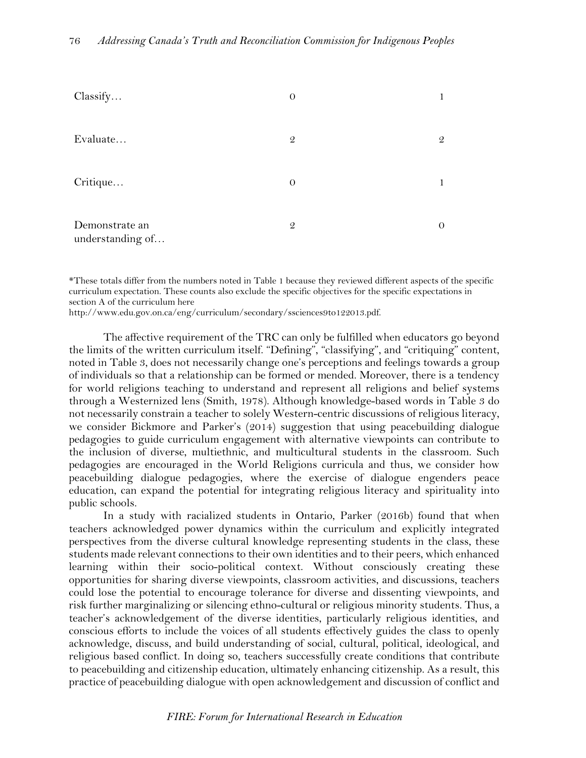| Classify                           | $\theta$      | 1             |
|------------------------------------|---------------|---------------|
| Evaluate                           | $\mathcal{Q}$ | $\mathcal{Q}$ |
| Critique                           | $\theta$      | 1             |
| Demonstrate an<br>understanding of | $\mathcal{Q}$ | $\Omega$      |

\*These totals differ from the numbers noted in Table 1 because they reviewed different aspects of the specific curriculum expectation. These counts also exclude the specific objectives for the specific expectations in section A of the curriculum here

[http://www.edu.gov.on.ca/eng/curriculum/secondary/ssciences9to122013.pdf.](http://www.edu.gov.on.ca/eng/curriculum/secondary/ssciences9to122013.pdf)

The affective requirement of the TRC can only be fulfilled when educators go beyond the limits of the written curriculum itself. "Defining", "classifying", and "critiquing" content, noted in Table 3, does not necessarily change one's perceptions and feelings towards a group of individuals so that a relationship can be formed or mended. Moreover, there is a tendency for world religions teaching to understand and represent all religions and belief systems through a Westernized lens (Smith, 1978). Although knowledge-based words in Table 3 do not necessarily constrain a teacher to solely Western-centric discussions of religious literacy, we consider Bickmore and Parker's (2014) suggestion that using peacebuilding dialogue pedagogies to guide curriculum engagement with alternative viewpoints can contribute to the inclusion of diverse, multiethnic, and multicultural students in the classroom. Such pedagogies are encouraged in the World Religions curricula and thus, we consider how peacebuilding dialogue pedagogies, where the exercise of dialogue engenders peace education, can expand the potential for integrating religious literacy and spirituality into public schools.

In a study with racialized students in Ontario, Parker (2016b) found that when teachers acknowledged power dynamics within the curriculum and explicitly integrated perspectives from the diverse cultural knowledge representing students in the class, these students made relevant connections to their own identities and to their peers, which enhanced learning within their socio-political context. Without consciously creating these opportunities for sharing diverse viewpoints, classroom activities, and discussions, teachers could lose the potential to encourage tolerance for diverse and dissenting viewpoints, and risk further marginalizing or silencing ethno-cultural or religious minority students. Thus, a teacher's acknowledgement of the diverse identities, particularly religious identities, and conscious efforts to include the voices of all students effectively guides the class to openly acknowledge, discuss, and build understanding of social, cultural, political, ideological, and religious based conflict. In doing so, teachers successfully create conditions that contribute to peacebuilding and citizenship education, ultimately enhancing citizenship. As a result, this practice of peacebuilding dialogue with open acknowledgement and discussion of conflict and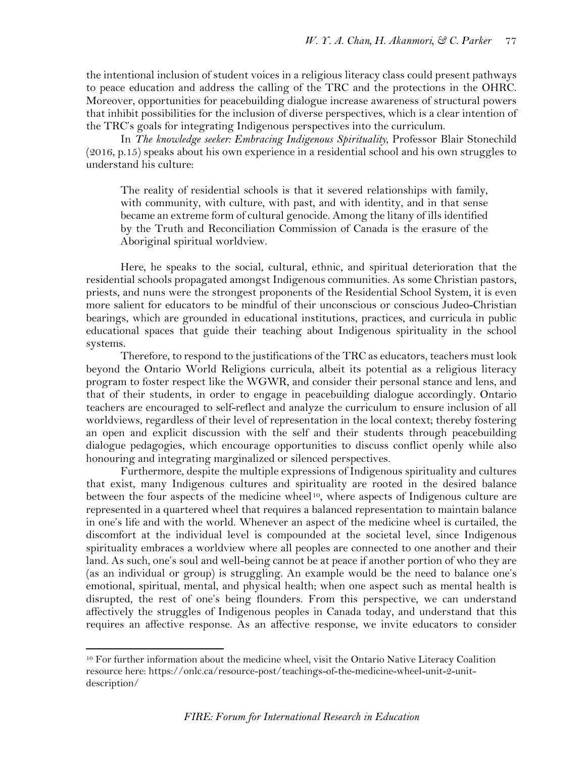the intentional inclusion of student voices in a religious literacy class could present pathways to peace education and address the calling of the TRC and the protections in the OHRC. Moreover, opportunities for peacebuilding dialogue increase awareness of structural powers that inhibit possibilities for the inclusion of diverse perspectives, which is a clear intention of the TRC's goals for integrating Indigenous perspectives into the curriculum.

In *The knowledge seeker: Embracing Indigenous Spirituality*, Professor Blair Stonechild (2016, p.15) speaks about his own experience in a residential school and his own struggles to understand his culture:

The reality of residential schools is that it severed relationships with family, with community, with culture, with past, and with identity, and in that sense became an extreme form of cultural genocide. Among the litany of ills identified by the Truth and Reconciliation Commission of Canada is the erasure of the Aboriginal spiritual worldview.

Here, he speaks to the social, cultural, ethnic, and spiritual deterioration that the residential schools propagated amongst Indigenous communities. As some Christian pastors, priests, and nuns were the strongest proponents of the Residential School System, it is even more salient for educators to be mindful of their unconscious or conscious Judeo-Christian bearings, which are grounded in educational institutions, practices, and curricula in public educational spaces that guide their teaching about Indigenous spirituality in the school systems.

Therefore, to respond to the justifications of the TRC as educators, teachers must look beyond the Ontario World Religions curricula, albeit its potential as a religious literacy program to foster respect like the WGWR, and consider their personal stance and lens, and that of their students, in order to engage in peacebuilding dialogue accordingly. Ontario teachers are encouraged to self-reflect and analyze the curriculum to ensure inclusion of all worldviews, regardless of their level of representation in the local context; thereby fostering an open and explicit discussion with the self and their students through peacebuilding dialogue pedagogies, which encourage opportunities to discuss conflict openly while also honouring and integrating marginalized or silenced perspectives.

Furthermore, despite the multiple expressions of Indigenous spirituality and cultures that exist, many Indigenous cultures and spirituality are rooted in the desired balance between the four aspects of the medicine wheel<sup>10</sup>, where aspects of Indigenous culture are represented in a quartered wheel that requires a balanced representation to maintain balance in one's life and with the world. Whenever an aspect of the medicine wheel is curtailed, the discomfort at the individual level is compounded at the societal level, since Indigenous spirituality embraces a worldview where all peoples are connected to one another and their land. As such, one's soul and well-being cannot be at peace if another portion of who they are (as an individual or group) is struggling. An example would be the need to balance one's emotional, spiritual, mental, and physical health; when one aspect such as mental health is disrupted, the rest of one's being flounders. From this perspective, we can understand affectively the struggles of Indigenous peoples in Canada today, and understand that this requires an affective response. As an affective response, we invite educators to consider

l

<span id="page-14-0"></span><sup>10</sup> For further information about the medicine wheel, visit the Ontario Native Literacy Coalition resource here: https://onlc.ca/resource-post/teachings-of-the-medicine-wheel-unit-2-unitdescription/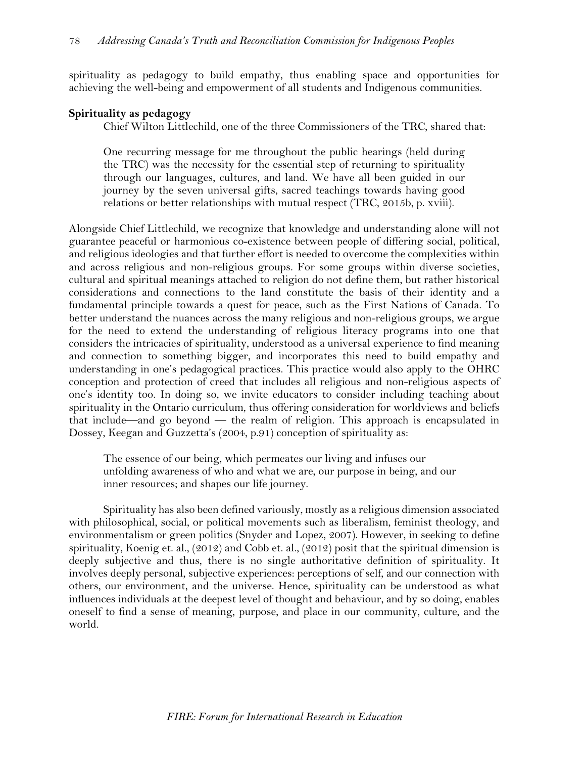spirituality as pedagogy to build empathy, thus enabling space and opportunities for achieving the well-being and empowerment of all students and Indigenous communities.

## **Spirituality as pedagogy**

Chief Wilton Littlechild, one of the three Commissioners of the TRC, shared that:

One recurring message for me throughout the public hearings (held during the TRC) was the necessity for the essential step of returning to spirituality through our languages, cultures, and land. We have all been guided in our journey by the seven universal gifts, sacred teachings towards having good relations or better relationships with mutual respect (TRC, 2015b, p. xviii).

Alongside Chief Littlechild, we recognize that knowledge and understanding alone will not guarantee peaceful or harmonious co-existence between people of differing social, political, and religious ideologies and that further effort is needed to overcome the complexities within and across religious and non-religious groups. For some groups within diverse societies, cultural and spiritual meanings attached to religion do not define them, but rather historical considerations and connections to the land constitute the basis of their identity and a fundamental principle towards a quest for peace, such as the First Nations of Canada. To better understand the nuances across the many religious and non-religious groups, we argue for the need to extend the understanding of religious literacy programs into one that considers the intricacies of spirituality, understood as a universal experience to find meaning and connection to something bigger, and incorporates this need to build empathy and understanding in one's pedagogical practices. This practice would also apply to the OHRC conception and protection of creed that includes all religious and non-religious aspects of one's identity too. In doing so, we invite educators to consider including teaching about spirituality in the Ontario curriculum, thus offering consideration for worldviews and beliefs that include—and go beyond — the realm of religion. This approach is encapsulated in Dossey, Keegan and Guzzetta's (2004, p.91) conception of spirituality as:

The essence of our being, which permeates our living and infuses our unfolding awareness of who and what we are, our purpose in being, and our inner resources; and shapes our life journey.

Spirituality has also been defined variously, mostly as a religious dimension associated with philosophical, social, or political movements such as liberalism, feminist theology, and environmentalism or green politics (Snyder and Lopez, 2007). However, in seeking to define spirituality, Koenig et. al., (2012) and Cobb et. al., (2012) posit that the spiritual dimension is deeply subjective and thus, there is no single authoritative definition of spirituality. It involves deeply personal, subjective experiences: perceptions of self, and our connection with others, our environment, and the universe. Hence, spirituality can be understood as what influences individuals at the deepest level of thought and behaviour, and by so doing, enables oneself to find a sense of meaning, purpose, and place in our community, culture, and the world.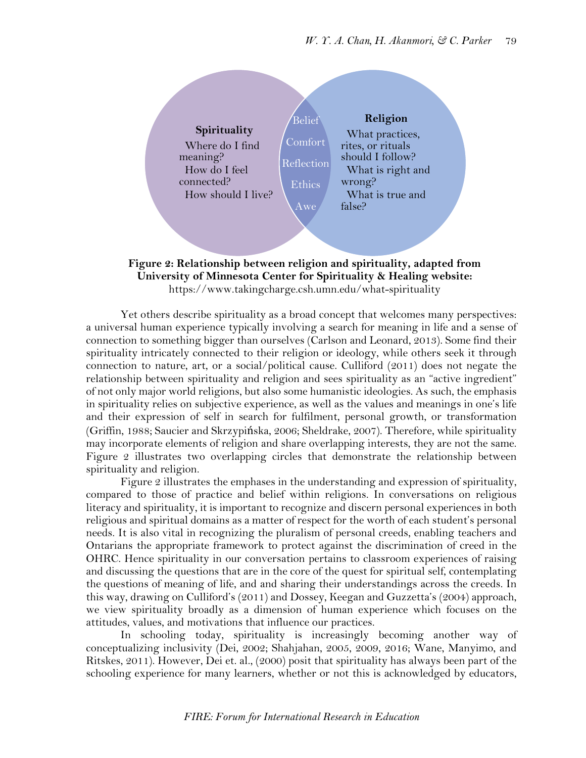

**Figure 2: Relationship between religion and spirituality, adapted from University of Minnesota Center for Spirituality & Healing website:**  <https://www.takingcharge.csh.umn.edu/what-spirituality>

Yet others describe spirituality as a broad concept that welcomes many perspectives: a universal human experience typically involving a search for meaning in life and a sense of connection to something bigger than ourselves (Carlson and Leonard, 2013). Some find their spirituality intricately connected to their religion or ideology, while others seek it through connection to nature, art, or a social/political cause. Culliford (2011) does not negate the relationship between spirituality and religion and sees spirituality as an "active ingredient" of not only major world religions, but also some humanistic ideologies. As such, the emphasis in spirituality relies on subjective experience, as well as the values and meanings in one's life and their expression of self in search for fulfilment, personal growth, or transformation (Griffin, 1988; Saucier and Skrzypińska, 2006; Sheldrake, 2007). Therefore, while spirituality may incorporate elements of religion and share overlapping interests, they are not the same. Figure 2 illustrates two overlapping circles that demonstrate the relationship between spirituality and religion.

Figure 2 illustrates the emphases in the understanding and expression of spirituality, compared to those of practice and belief within religions. In conversations on religious literacy and spirituality, it is important to recognize and discern personal experiences in both religious and spiritual domains as a matter of respect for the worth of each student's personal needs. It is also vital in recognizing the pluralism of personal creeds, enabling teachers and Ontarians the appropriate framework to protect against the discrimination of creed in the OHRC. Hence spirituality in our conversation pertains to classroom experiences of raising and discussing the questions that are in the core of the quest for spiritual self, contemplating the questions of meaning of life, and and sharing their understandings across the creeds. In this way, drawing on Culliford's (2011) and Dossey, Keegan and Guzzetta's (2004) approach, we view spirituality broadly as a dimension of human experience which focuses on the attitudes, values, and motivations that influence our practices.

In schooling today, spirituality is increasingly becoming another way of conceptualizing inclusivity (Dei, 2002; Shahjahan, 2005, 2009, 2016; Wane, Manyimo, and Ritskes, 2011). However, Dei et. al., (2000) posit that spirituality has always been part of the schooling experience for many learners, whether or not this is acknowledged by educators,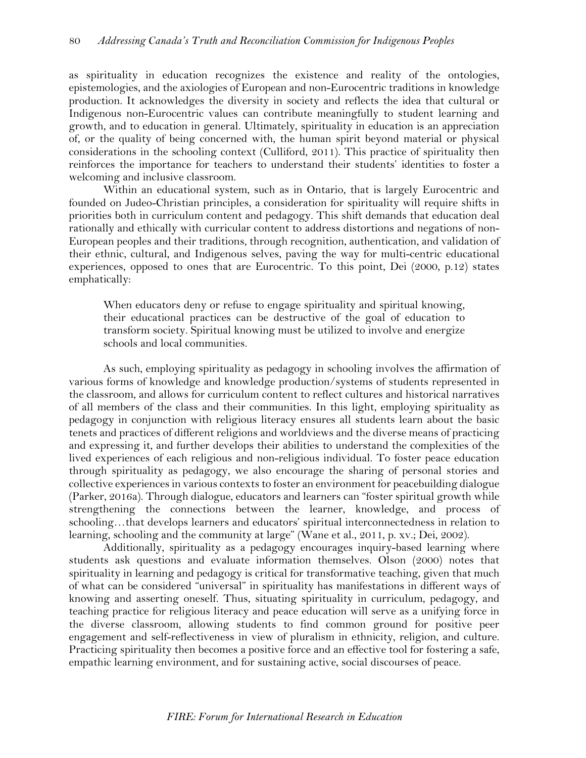as spirituality in education recognizes the existence and reality of the ontologies, epistemologies, and the axiologies of European and non-Eurocentric traditions in knowledge production. It acknowledges the diversity in society and reflects the idea that cultural or Indigenous non-Eurocentric values can contribute meaningfully to student learning and growth, and to education in general. Ultimately, spirituality in education is an appreciation of, or the quality of being concerned with, the human spirit beyond material or physical considerations in the schooling context (Culliford, 2011). This practice of spirituality then reinforces the importance for teachers to understand their students' identities to foster a welcoming and inclusive classroom.

Within an educational system, such as in Ontario, that is largely Eurocentric and founded on Judeo-Christian principles, a consideration for spirituality will require shifts in priorities both in curriculum content and pedagogy. This shift demands that education deal rationally and ethically with curricular content to address distortions and negations of non-European peoples and their traditions, through recognition, authentication, and validation of their ethnic, cultural, and Indigenous selves, paving the way for multi-centric educational experiences, opposed to ones that are Eurocentric. To this point, Dei (2000, p.12) states emphatically:

When educators deny or refuse to engage spirituality and spiritual knowing, their educational practices can be destructive of the goal of education to transform society. Spiritual knowing must be utilized to involve and energize schools and local communities.

As such, employing spirituality as pedagogy in schooling involves the affirmation of various forms of knowledge and knowledge production/systems of students represented in the classroom, and allows for curriculum content to reflect cultures and historical narratives of all members of the class and their communities. In this light, employing spirituality as pedagogy in conjunction with religious literacy ensures all students learn about the basic tenets and practices of different religions and worldviews and the diverse means of practicing and expressing it, and further develops their abilities to understand the complexities of the lived experiences of each religious and non-religious individual. To foster peace education through spirituality as pedagogy, we also encourage the sharing of personal stories and collective experiences in various contexts to foster an environment for peacebuilding dialogue (Parker, 2016a). Through dialogue, educators and learners can "foster spiritual growth while strengthening the connections between the learner, knowledge, and process of schooling…that develops learners and educators' spiritual interconnectedness in relation to learning, schooling and the community at large" (Wane et al., 2011, p. xv.; Dei, 2002).

Additionally, spirituality as a pedagogy encourages inquiry-based learning where students ask questions and evaluate information themselves. Olson (2000) notes that spirituality in learning and pedagogy is critical for transformative teaching, given that much of what can be considered "universal" in spirituality has manifestations in different ways of knowing and asserting oneself. Thus, situating spirituality in curriculum, pedagogy, and teaching practice for religious literacy and peace education will serve as a unifying force in the diverse classroom, allowing students to find common ground for positive peer engagement and self-reflectiveness in view of pluralism in ethnicity, religion, and culture. Practicing spirituality then becomes a positive force and an effective tool for fostering a safe, empathic learning environment, and for sustaining active, social discourses of peace.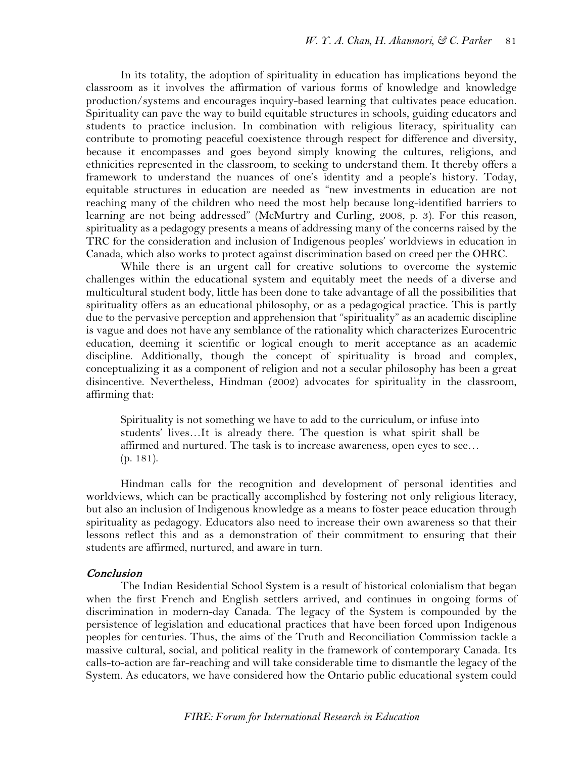In its totality, the adoption of spirituality in education has implications beyond the classroom as it involves the affirmation of various forms of knowledge and knowledge production/systems and encourages inquiry-based learning that cultivates peace education. Spirituality can pave the way to build equitable structures in schools, guiding educators and students to practice inclusion. In combination with religious literacy, spirituality can contribute to promoting peaceful coexistence through respect for difference and diversity, because it encompasses and goes beyond simply knowing the cultures, religions, and ethnicities represented in the classroom, to seeking to understand them. It thereby offers a framework to understand the nuances of one's identity and a people's history. Today, equitable structures in education are needed as "new investments in education are not reaching many of the children who need the most help because long-identified barriers to learning are not being addressed" (McMurtry and Curling, 2008, p. 3). For this reason, spirituality as a pedagogy presents a means of addressing many of the concerns raised by the TRC for the consideration and inclusion of Indigenous peoples' worldviews in education in Canada, which also works to protect against discrimination based on creed per the OHRC.

While there is an urgent call for creative solutions to overcome the systemic challenges within the educational system and equitably meet the needs of a diverse and multicultural student body, little has been done to take advantage of all the possibilities that spirituality offers as an educational philosophy, or as a pedagogical practice. This is partly due to the pervasive perception and apprehension that "spirituality" as an academic discipline is vague and does not have any semblance of the rationality which characterizes Eurocentric education, deeming it scientific or logical enough to merit acceptance as an academic discipline. Additionally, though the concept of spirituality is broad and complex, conceptualizing it as a component of religion and not a secular philosophy has been a great disincentive. Nevertheless, Hindman (2002) advocates for spirituality in the classroom, affirming that:

Spirituality is not something we have to add to the curriculum, or infuse into students' lives…It is already there. The question is what spirit shall be affirmed and nurtured. The task is to increase awareness, open eyes to see… (p. 181).

Hindman calls for the recognition and development of personal identities and worldviews, which can be practically accomplished by fostering not only religious literacy, but also an inclusion of Indigenous knowledge as a means to foster peace education through spirituality as pedagogy. Educators also need to increase their own awareness so that their lessons reflect this and as a demonstration of their commitment to ensuring that their students are affirmed, nurtured, and aware in turn.

## Conclusion

The Indian Residential School System is a result of historical colonialism that began when the first French and English settlers arrived, and continues in ongoing forms of discrimination in modern-day Canada. The legacy of the System is compounded by the persistence of legislation and educational practices that have been forced upon Indigenous peoples for centuries. Thus, the aims of the Truth and Reconciliation Commission tackle a massive cultural, social, and political reality in the framework of contemporary Canada. Its calls-to-action are far-reaching and will take considerable time to dismantle the legacy of the System. As educators, we have considered how the Ontario public educational system could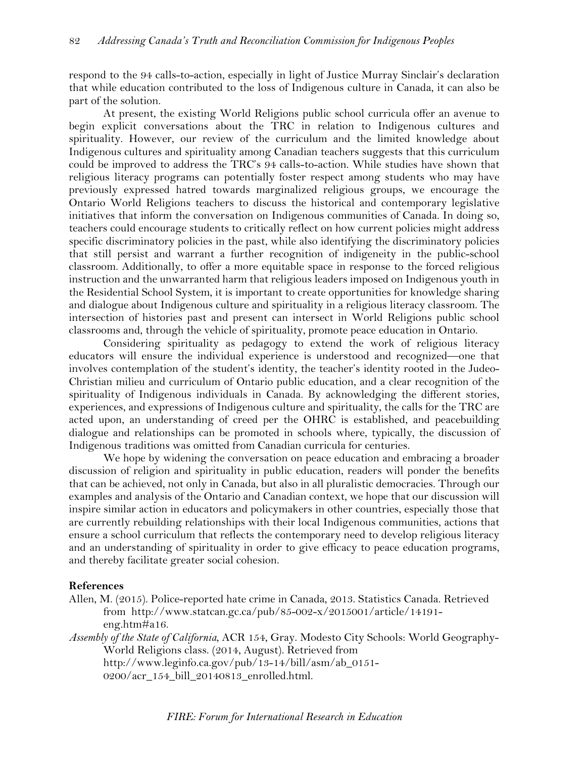respond to the 94 calls-to-action, especially in light of Justice Murray Sinclair's declaration that while education contributed to the loss of Indigenous culture in Canada, it can also be part of the solution.

At present, the existing World Religions public school curricula offer an avenue to begin explicit conversations about the TRC in relation to Indigenous cultures and spirituality. However, our review of the curriculum and the limited knowledge about Indigenous cultures and spirituality among Canadian teachers suggests that this curriculum could be improved to address the TRC's 94 calls-to-action. While studies have shown that religious literacy programs can potentially foster respect among students who may have previously expressed hatred towards marginalized religious groups, we encourage the Ontario World Religions teachers to discuss the historical and contemporary legislative initiatives that inform the conversation on Indigenous communities of Canada. In doing so, teachers could encourage students to critically reflect on how current policies might address specific discriminatory policies in the past, while also identifying the discriminatory policies that still persist and warrant a further recognition of indigeneity in the public-school classroom. Additionally, to offer a more equitable space in response to the forced religious instruction and the unwarranted harm that religious leaders imposed on Indigenous youth in the Residential School System, it is important to create opportunities for knowledge sharing and dialogue about Indigenous culture and spirituality in a religious literacy classroom. The intersection of histories past and present can intersect in World Religions public school classrooms and, through the vehicle of spirituality, promote peace education in Ontario.

Considering spirituality as pedagogy to extend the work of religious literacy educators will ensure the individual experience is understood and recognized—one that involves contemplation of the student's identity, the teacher's identity rooted in the Judeo-Christian milieu and curriculum of Ontario public education, and a clear recognition of the spirituality of Indigenous individuals in Canada. By acknowledging the different stories, experiences, and expressions of Indigenous culture and spirituality, the calls for the TRC are acted upon, an understanding of creed per the OHRC is established, and peacebuilding dialogue and relationships can be promoted in schools where, typically, the discussion of Indigenous traditions was omitted from Canadian curricula for centuries.

We hope by widening the conversation on peace education and embracing a broader discussion of religion and spirituality in public education, readers will ponder the benefits that can be achieved, not only in Canada, but also in all pluralistic democracies. Through our examples and analysis of the Ontario and Canadian context, we hope that our discussion will inspire similar action in educators and policymakers in other countries, especially those that are currently rebuilding relationships with their local Indigenous communities, actions that ensure a school curriculum that reflects the contemporary need to develop religious literacy and an understanding of spirituality in order to give efficacy to peace education programs, and thereby facilitate greater social cohesion.

## **References**

- Allen, M. (2015). Police-reported hate crime in Canada, 2013. Statistics Canada. Retrieved from [http://www.statcan.gc.ca/pub/85-002-x/2015001/article/14191](http://www.statcan.gc.ca/pub/85-002-x/2015001/article/14191-eng.htm#a16) [eng.htm#a16.](http://www.statcan.gc.ca/pub/85-002-x/2015001/article/14191-eng.htm#a16)
- *Assembly of the State of California*, ACR 154, Gray. Modesto City Schools: World Geography-World Religions class. (2014, August). Retrieved from [http://www.leginfo.ca.gov/pub/13-14/bill/asm/ab\\_0151-](http://www.leginfo.ca.gov/pub/13-14/bill/asm/ab_0151-0200/acr_154_bill_20140813_enrolled.html) [0200/acr\\_154\\_bill\\_20140813\\_enrolled.html.](http://www.leginfo.ca.gov/pub/13-14/bill/asm/ab_0151-0200/acr_154_bill_20140813_enrolled.html)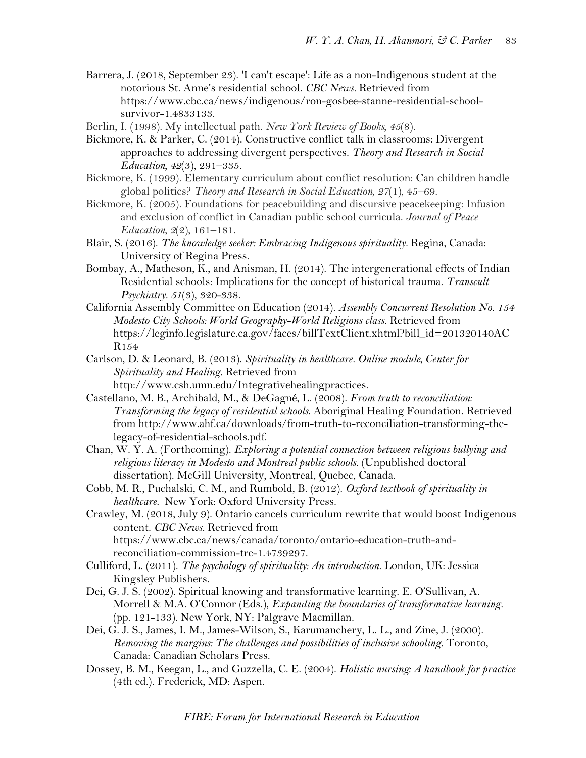- Barrera, J. (2018, September 23). 'I can't escape': Life as a non-Indigenous student at the notorious St. Anne's residential school. *CBC News.* Retrieved from [https://www.cbc.ca/news/indigenous/ron-gosbee-stanne-residential-school](https://www.cbc.ca/news/indigenous/ron-gosbee-stanne-residential-school-survivor-1.4833133)[survivor-1.4833133.](https://www.cbc.ca/news/indigenous/ron-gosbee-stanne-residential-school-survivor-1.4833133)
- Berlin, I. (1998). My intellectual path. *New York Review of Books, 45*(8).
- Bickmore, K. & Parker, C. (2014). Constructive conflict talk in classrooms: Divergent approaches to addressing divergent perspectives. *Theory and Research in Social Education, 42*(3), 291–335.
- Bickmore, K. (1999). Elementary curriculum about conflict resolution: Can children handle global politics? *Theory and Research in Social Education, 27*(1)*,* 45–69.
- Bickmore, K. (2005). Foundations for peacebuilding and discursive peacekeeping: Infusion and exclusion of conflict in Canadian public school curricula. *Journal of Peace Education, 2*(2)*,* 161–181.
- Blair, S. (2016). *The knowledge seeker: Embracing Indigenous spirituality.* Regina, Canada: University of Regina Press.
- Bombay, A., Matheson, K., and Anisman, H. (2014). The intergenerational effects of Indian Residential schools: Implications for the concept of historical trauma. *Transcult Psychiatry. 51*(3), 320-338.
- California Assembly Committee on Education (2014). *Assembly Concurrent Resolution No. 154 Modesto City Schools: World Geography-World Religions class.* Retrieved from https://leginfo.legislature.ca.gov/faces/billTextClient.xhtml?bill\_id=201320140AC R154
- Carlson, D. & Leonard, B. (2013). *Spirituality in healthcare. Online module, Center for Spirituality and Healing.* Retrieved from http://www.csh.umn.edu/Integrativehealingpractices.
- Castellano, M. B., Archibald, M., & DeGagné, L. (2008). *From truth to reconciliation: Transforming the legacy of residential schools*. Aboriginal Healing Foundation. Retrieved from http://www.ahf.ca/downloads/from-truth-to-reconciliation-transforming-thelegacy-of-residential-schools.pdf.
- Chan, W. Y. A. (Forthcoming). *Exploring a potential connection between religious bullying and religious literacy in Modesto and Montreal public schools.* (Unpublished doctoral dissertation). McGill University, Montreal, Quebec, Canada.
- Cobb, M. R., Puchalski, C. M., and Rumbold, B. (2012). *Oxford textbook of spirituality in healthcare.* New York: Oxford University Press.
- Crawley, M. (2018, July 9). Ontario cancels curriculum rewrite that would boost Indigenous content. *CBC News.* Retrieved from https://www.cbc.ca/news/canada/toronto/ontario-education-truth-andreconciliation-commission-trc-1.4739297.
- Culliford, L. (2011). *The psychology of spirituality: An introduction*. London, UK: Jessica Kingsley Publishers.
- Dei, G. J. S. (2002). Spiritual knowing and transformative learning. E. O'Sullivan, A. Morrell & M.A. O'Connor (Eds.), *Expanding the boundaries of transformative learning.* (pp. 121-133). New York, NY: Palgrave Macmillan.
- Dei, G. J. S., James, I. M., James-Wilson, S., Karumanchery, L. L., and Zine, J. (2000). *Removing the margins: The challenges and possibilities of inclusive schooling.* Toronto, Canada: Canadian Scholars Press.
- Dossey, B. M., Keegan, L., and Guzzella, C. E. (2004). *Holistic nursing: A handbook for practice*  (4th ed.). Frederick, MD: Aspen.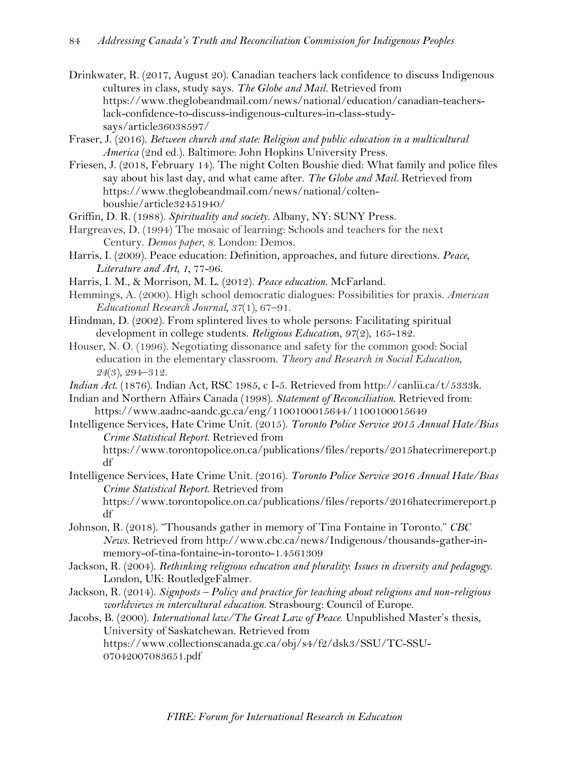- Drinkwater, R. (2017, August 20). Canadian teachers lack confidence to discuss Indigenous cultures in class, study says. *The Globe and Mail.* Retrieved from https://www.theglobeandmail.com/news/national/education/canadian-teacherslack-confidence-to-discuss-indigenous-cultures-in-class-studysays/article36038597/
- Fraser, J. (2016). *Between church and state: Religion and public education in a multicultural America* (2nd ed.). Baltimore: John Hopkins University Press.
- Friesen, J. (2018, February 14). The night Colten Boushie died: What family and police files say about his last day, and what came after. *The Globe and Mail.* Retrieved from https://www.theglobeandmail.com/news/national/coltenboushie/article32451940/
- Griffin, D. R. (1988). *Spirituality and society.* Albany, NY: SUNY Press.
- Hargreaves, D. (1994) The mosaic of learning: Schools and teachers for the next Century. *Demos paper, 8*. London: Demos.
- Harris, I. (2009). Peace education: Definition, approaches, and future directions. *Peace, Literature and Art*, *1*, 77-96.
- Harris, I. M., & Morrison, M. L. (2012). *Peace education*. McFarland.

df

- Hemmings, A. (2000). High school democratic dialogues: Possibilities for praxis. *American Educational Research Journal, 37*(1)*,* 67–91.
- Hindman, D. (2002). From splintered lives to whole persons: Facilitating spiritual development in college students. *Religious Educatio*n, *97*(2), 165-182.
- Houser, N. O. (1996). Negotiating dissonance and safety for the common good: Social education in the elementary classroom. *Theory and Research in Social Education, 24*(3)*,* 294–312.
- *Indian Act*. (1876). Indian Act, RSC 1985, c I-5. Retrieved from http://canlii.ca/t/5333k.
- Indian and Northern Affairs Canada (1998). *Statement of Reconciliation*. Retrieved from: https://www.aadnc-aandc.gc.ca/eng/1100100015644/1100100015649
- Intelligence Services, Hate Crime Unit. (2015). *Toronto Police Service 2015 Annual Hate/Bias Crime Statistical Report*. Retrieved from
	- https://www.torontopolice.on.ca/publications/files/reports/2015hatecrimereport.p df
- Intelligence Services, Hate Crime Unit. (2016). *Toronto Police Service 2016 Annual Hate/Bias Crime Statistical Report*. Retrieved from https://www.torontopolice.on.ca/publications/files/reports/2016hatecrimereport.p
- Johnson, R. (2018). "Thousands gather in memory of Tina Fontaine in Toronto." *CBC News.* Retrieved from http://www.cbc.ca/news/Indigenous/thousands-gather-inmemory-of-tina-fontaine-in-toronto-1.4561309
- Jackson, R. (2004). *Rethinking religious education and plurality*: *Issues in diversity and pedagogy*. London, UK: RoutledgeFalmer.
- Jackson, R. (2014). *Signposts – Policy and practice for teaching about religions and non-religious worldviews in intercultural education.* Strasbourg: Council of Europe.

Jacobs, B. (2000). *International law/The Great Law of Peace*. Unpublished Master's thesis, University of Saskatchewan. Retrieved from https://www.collectionscanada.gc.ca/obj/s4/f2/dsk3/SSU/TC-SSU-07042007083651.pdf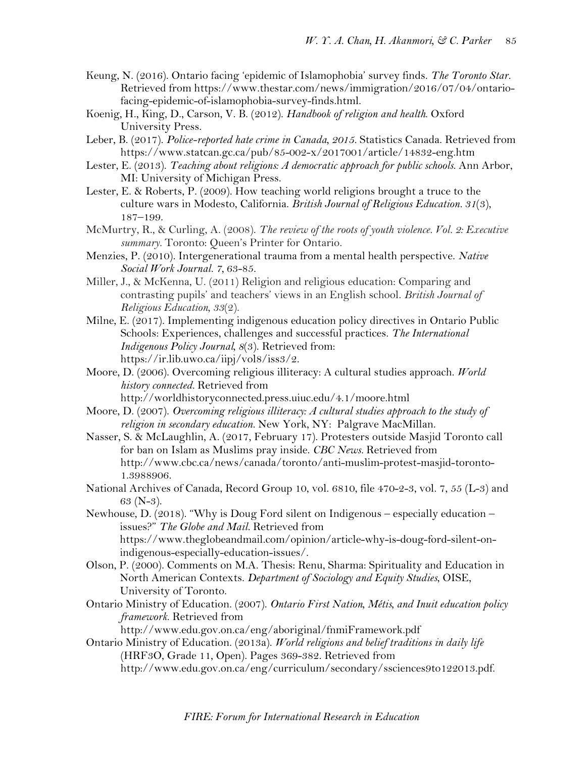- Keung, N. (2016). Ontario facing 'epidemic of Islamophobia' survey finds. *The Toronto Star.*  Retrieved from https://www.thestar.com/news/immigration/2016/07/04/ontariofacing-epidemic-of-islamophobia-survey-finds.html.
- Koenig, H., King, D., Carson, V. B. (2012). *Handbook of religion and health*. Oxford University Press.
- Leber, B. (2017). *Police-reported hate crime in Canada, 2015.* Statistics Canada. Retrieved from https://www.statcan.gc.ca/pub/85-002-x/2017001/article/14832-eng.htm
- Lester, E. (2013). *Teaching about religions: A democratic approach for public schools*. Ann Arbor, MI: University of Michigan Press.
- Lester, E. & Roberts, P. (2009). How teaching world religions brought a truce to the culture wars in Modesto, California. *British Journal of Religious Education. 31*(3), 187–199.
- McMurtry, R., & Curling, A. (2008). *The review of the roots of youth violence. Vol. 2: Executive summary.* Toronto: Queen's Printer for Ontario.
- Menzies, P. (2010). Intergenerational trauma from a mental health perspective. *Native Social Work Journal. 7,* 63-85.
- Miller, J., & McKenna, U. (2011) Religion and religious education: Comparing and contrasting pupils' and teachers' views in an English school. *British Journal of Religious Education, 33*(2).
- Milne, E. (2017). Implementing indigenous education policy directives in Ontario Public Schools: Experiences, challenges and successful practices. *The International Indigenous Policy Journal, 8*(3). Retrieved from: https://ir.lib.uwo.ca/iipj/vol8/iss3/2.
- Moore, D. (2006). Overcoming religious illiteracy: A cultural studies approach. *World history connected.* Retrieved from

<http://worldhistoryconnected.press.uiuc.edu/4.1/moore.html>

- Moore, D. (2007). *Overcoming religious illiteracy: A cultural studies approach to the study of religion in secondary education.* New York, NY: Palgrave MacMillan.
- Nasser, S. & McLaughlin, A. (2017, February 17). Protesters outside Masjid Toronto call for ban on Islam as Muslims pray inside. *CBC News.* Retrieved from http://www.cbc.ca/news/canada/toronto/anti-muslim-protest-masjid-toronto-1.3988906.
- National Archives of Canada, Record Group 10, vol. 6810, file 470-2-3, vol. 7, 55 (L-3) and 63 (N-3).
- Newhouse, D. (2018). "Why is Doug Ford silent on Indigenous especially education issues?" *The Globe and Mail.* Retrieved from https://www.theglobeandmail.com/opinion/article-why-is-doug-ford-silent-onindigenous-especially-education-issues/.
- Olson, P. (2000). Comments on M.A. Thesis: Renu, Sharma: Spirituality and Education in North American Contexts. *Department of Sociology and Equity Studies*, OISE, University of Toronto.
- Ontario Ministry of Education. (2007). *Ontario First Nation, Métis, and Inuit education policy framework*. Retrieved from

<http://www.edu.gov.on.ca/eng/aboriginal/fnmiFramework.pdf>

Ontario Ministry of Education. (2013a). *World religions and belief traditions in daily life* (HRF3O, Grade 11, Open). Pages 369-382. Retrieved from http://www.edu.gov.on.ca/eng/curriculum/secondary/ssciences9to122013.pdf.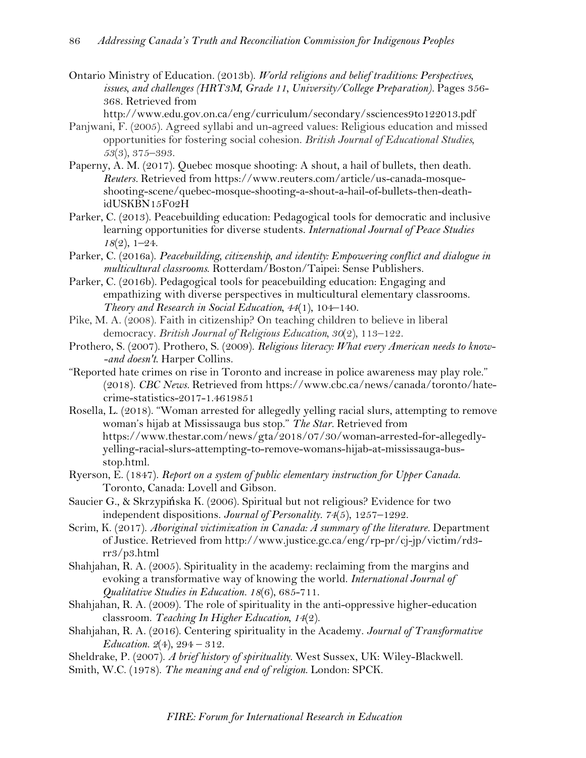Ontario Ministry of Education. (2013b). *World religions and belief traditions: Perspectives,*  issues, and challenges (HRT3M, Grade 11, University/College Preparation). Pages 356-368. Retrieved from

http://www.edu.gov.on.ca/eng/curriculum/secondary/ssciences9to122013.pdf

- Panjwani, F. (2005). Agreed syllabi and un-agreed values: Religious education and missed opportunities for fostering social cohesion. *British Journal of Educational Studies, 53*(3)*,* 375–393.
- Paperny, A. M. (2017). Quebec mosque shooting: A shout, a hail of bullets, then death. *Reuters.* Retrieved from https://www.reuters.com/article/us-canada-mosqueshooting-scene/quebec-mosque-shooting-a-shout-a-hail-of-bullets-then-deathidUSKBN15F02H
- Parker, C. (2013). Peacebuilding education: Pedagogical tools for democratic and inclusive learning opportunities for diverse students. *International Journal of Peace Studies 18*(2), 1–24.
- Parker, C. (2016a). *Peacebuilding, citizenship, and identity: Empowering conflict and dialogue in multicultural classrooms*. Rotterdam/Boston/Taipei: Sense Publishers.
- Parker, C. (2016b). Pedagogical tools for peacebuilding education: Engaging and empathizing with diverse perspectives in multicultural elementary classrooms. *Theory and Research in Social Education, 44*(1), 104–140.
- Pike, M. A. (2008). Faith in citizenship? On teaching children to believe in liberal democracy. *British Journal of Religious Education, 30*(2)*,* 113–122.
- Prothero, S. (2007). Prothero, S. (2009). *Religious literacy: What every American needs to know- -and doesn't*. Harper Collins.
- "Reported hate crimes on rise in Toronto and increase in police awareness may play role." (2018). *CBC News.* Retrieved from https://www.cbc.ca/news/canada/toronto/hatecrime-statistics-2017-1.4619851
- Rosella, L. (2018). "Woman arrested for allegedly yelling racial slurs, attempting to remove woman's hijab at Mississauga bus stop." *The Star.* Retrieved from https://www.thestar.com/news/gta/2018/07/30/woman-arrested-for-allegedlyyelling-racial-slurs-attempting-to-remove-womans-hijab-at-mississauga-busstop.html.
- Ryerson, E. (1847). *Report on a system of public elementary instruction for Upper Canada*. Toronto, Canada: Lovell and Gibson.
- Saucier G., & Skrzypińska K. (2006). Spiritual but not religious? Evidence for two independent dispositions. *Journal of Personality. 74*(5), 1257–1292.
- Scrim, K. (2017). *Aboriginal victimization in Canada: A summary of the literature.* Department of Justice. Retrieved from http://www.justice.gc.ca/eng/rp-pr/cj-jp/victim/rd3 rr3/p3.html
- Shahjahan, R. A. (2005). Spirituality in the academy: reclaiming from the margins and evoking a transformative way of knowing the world. *International Journal of Qualitative Studies in Education. 18*(6), 685-711.
- Shahjahan, R. A. (2009). The role of spirituality in the anti-oppressive higher-education classroom. *Teaching In Higher Education, 14*(2).
- Shahjahan, R. A. (2016). Centering spirituality in the Academy. *Journal of Transformative Education. 2*(4), 294 – 312.
- Sheldrake, P. (2007). *A brief history of spirituality.* West Sussex, UK: Wiley-Blackwell.
- Smith, W.C. (1978). *The meaning and end of religion*. London: SPCK.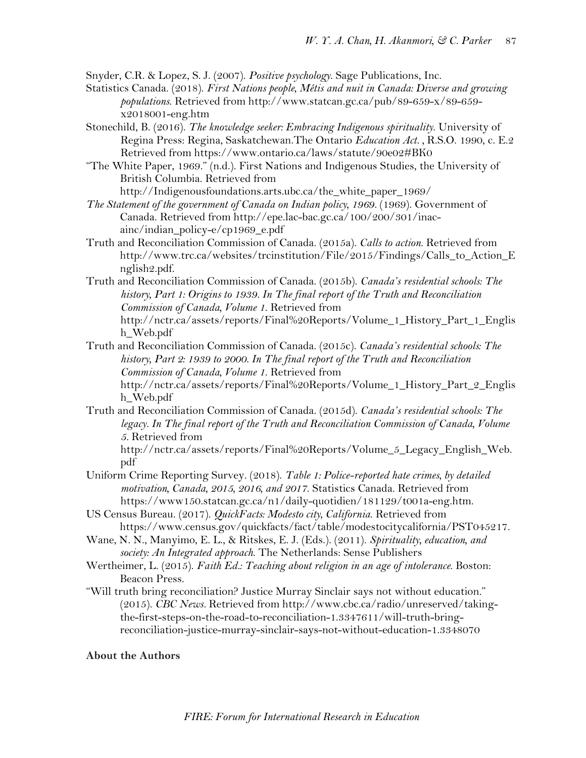Snyder, C.R. & Lopez, S. J. (2007). *Positive psychology*. Sage Publications, Inc.

- Statistics Canada. (2018). *First Nations people, Métis and nuit in Canada: Diverse and growing populations*. Retrieved from http://www.statcan.gc.ca/pub/89-659-x/89-659 x2018001-eng.htm
- Stonechild, B. (2016). *The knowledge seeker: Embracing Indigenous spirituality*. University of Regina Press: Regina, Saskatchewan.The Ontario *Education Act. ,* R.S.O. 1990, c. E.2 Retrieved from https://www.ontario.ca/laws/statute/90e02#BK0

"The White Paper, 1969." (n.d.). First Nations and Indigenous Studies, the University of British Columbia. Retrieved from

http://Indigenousfoundations.arts.ubc.ca/the\_white\_paper\_1969/

*The Statement of the government of Canada on Indian policy, 1969.* (1969). Government of Canada. Retrieved from http://epe.lac-bac.gc.ca/100/200/301/inacainc/indian\_policy-e/cp1969\_e.pdf

Truth and Reconciliation Commission of Canada. (2015a). *Calls to action*. Retrieved from http://www.trc.ca/websites/trcinstitution/File/2015/Findings/Calls\_to\_Action\_E nglish2.pdf.

Truth and Reconciliation Commission of Canada. (2015b). *Canada's residential schools: The history, Part 1: Origins to 1939. In The final report of the Truth and Reconciliation Commission of Canada, Volume 1*. Retrieved from http://nctr.ca/assets/reports/Final%20Reports/Volume\_1\_History\_Part\_1\_Englis h\_Web.pdf

Truth and Reconciliation Commission of Canada. (2015c). *Canada's residential schools: The history, Part 2: 1939 to 2000. In The final report of the Truth and Reconciliation Commission of Canada, Volume 1*. Retrieved from http://nctr.ca/assets/reports/Final%20Reports/Volume\_1\_History\_Part\_2\_Englis h\_Web.pdf

Truth and Reconciliation Commission of Canada. (2015d). *Canada's residential schools: The legacy. In The final report of the Truth and Reconciliation Commission of Canada, Volume 5.* Retrieved from

http://nctr.ca/assets/reports/Final%20Reports/Volume\_5\_Legacy\_English\_Web. pdf

- Uniform Crime Reporting Survey. (2018). *Table 1: Police-reported hate crimes, by detailed motivation, Canada, 2015, 2016, and 2017*. Statistics Canada. Retrieved from [https://www150.statcan.gc.ca/n1/daily-quotidien/181129/t001a-eng.htm.](https://www150.statcan.gc.ca/n1/daily-quotidien/181129/t001a-eng.htm)
- US Census Bureau. (2017). *QuickFacts: Modesto city, California*. Retrieved from https://www.census.gov/quickfacts/fact/table/modestocitycalifornia/PST045217.
- Wane, N. N., Manyimo, E. L., & Ritskes, E. J. (Eds.). (2011). *Spirituality, education, and society: An Integrated approach*. The Netherlands: Sense Publishers
- Wertheimer, L. (2015). *Faith Ed.: Teaching about religion in an age of intolerance*. Boston: Beacon Press.
- "Will truth bring reconciliation? Justice Murray Sinclair says not without education." (2015). *CBC News.* Retrieved from http://www.cbc.ca/radio/unreserved/takingthe-first-steps-on-the-road-to-reconciliation-1.3347611/will-truth-bringreconciliation-justice-murray-sinclair-says-not-without-education-1.3348070

# **About the Authors**